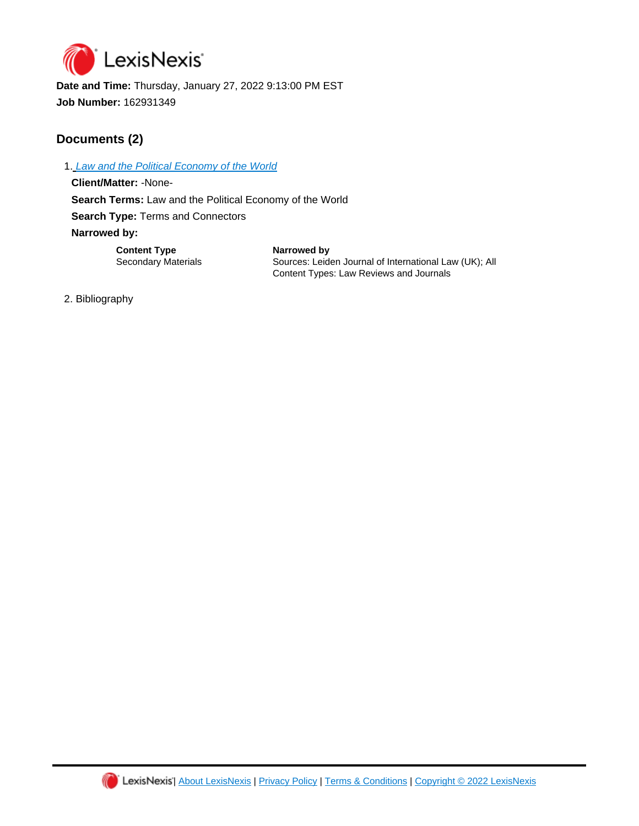

**Date and Time:** Thursday, January 27, 2022 9:13:00 PM EST **Job Number:** 162931349

# **Documents (2)**

## 1. [Law and the Political Economy of the World](https://advance.lexis.com/api/document?id=urn:contentItem:5PYV-3PC0-02GS-V3RX-00000-00&idtype=PID&context=1516831)

**Client/Matter:** -None-

**Search Terms:** Law and the Political Economy of the World

**Search Type:** Terms and Connectors

**Narrowed by:** 

**Content Type Narrowed by**

Secondary Materials Sources: Leiden Journal of International Law (UK); All Content Types: Law Reviews and Journals

2. Bibliography

Œ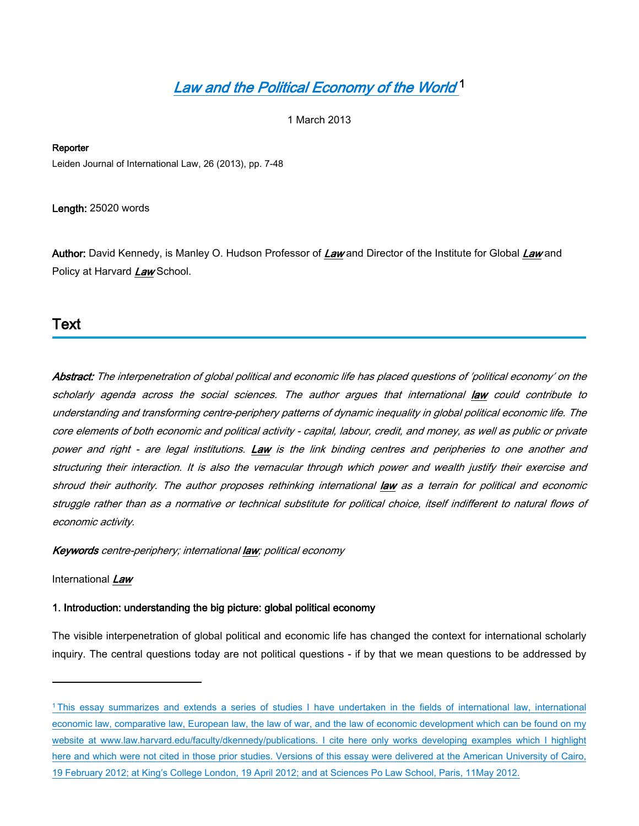1 March 2013

#### **Reporter**

Leiden Journal of International Law, 26 (2013), pp. 7-48

### **Length:** 25020 words

**Author:** David Kennedy, is Manley O. Hudson Professor of *Law* and Director of the Institute for Global *Law* and Policy at Harvard *Law* School.

# **Text**

*Abstract: The interpenetration of global political and economic life has placed questions of ′political economy′ on the scholarly agenda across the social sciences. The author argues that international law could contribute to understanding and transforming centre-periphery patterns of dynamic inequality in global political economic life. The core elements of both economic and political activity - capital, labour, credit, and money, as well as public or private power and right - are legal institutions. Law is the link binding centres and peripheries to one another and structuring their interaction. It is also the vernacular through which power and wealth justify their exercise and shroud their authority. The author proposes rethinking international law as a terrain for political and economic struggle rather than as a normative or technical substitute for political choice, itself indifferent to natural flows of economic activity.*

#### *Keywords centre-periphery; international law; political economy*

#### International *Law*

#### **1. Introduction: understanding the big picture: global political economy**

The visible interpenetration of global political and economic life has changed the context for international scholarly inquiry. The central questions today are not political questions - if by that we mean questions to be addressed by

<sup>1</sup>[This essay summarizes and extends a series of studies I have undertaken in the fields of international law, international](https://advance.lexis.com/api/document?collection=analytical-materials&id=urn:contentItem:5PYV-3PC0-02GS-V3RX-00000-00&context=1516831)  [economic law, comparative law, European law, the law of war, and the law of economic development which can be found on my](https://advance.lexis.com/api/document?collection=analytical-materials&id=urn:contentItem:5PYV-3PC0-02GS-V3RX-00000-00&context=1516831)  [website at www.law.harvard.edu/faculty/dkennedy/publications. I cite here only works developing examples which I highlight](https://advance.lexis.com/api/document?collection=analytical-materials&id=urn:contentItem:5PYV-3PC0-02GS-V3RX-00000-00&context=1516831)  [here and which were not cited in those prior studies. Versions of this essay were delivered at the American University of Cairo,](https://advance.lexis.com/api/document?collection=analytical-materials&id=urn:contentItem:5PYV-3PC0-02GS-V3RX-00000-00&context=1516831)  19 February 2012; at King′s [College London, 19 April 2012; and at Sciences Po Law School, Paris, 11May 2012.](https://advance.lexis.com/api/document?collection=analytical-materials&id=urn:contentItem:5PYV-3PC0-02GS-V3RX-00000-00&context=1516831)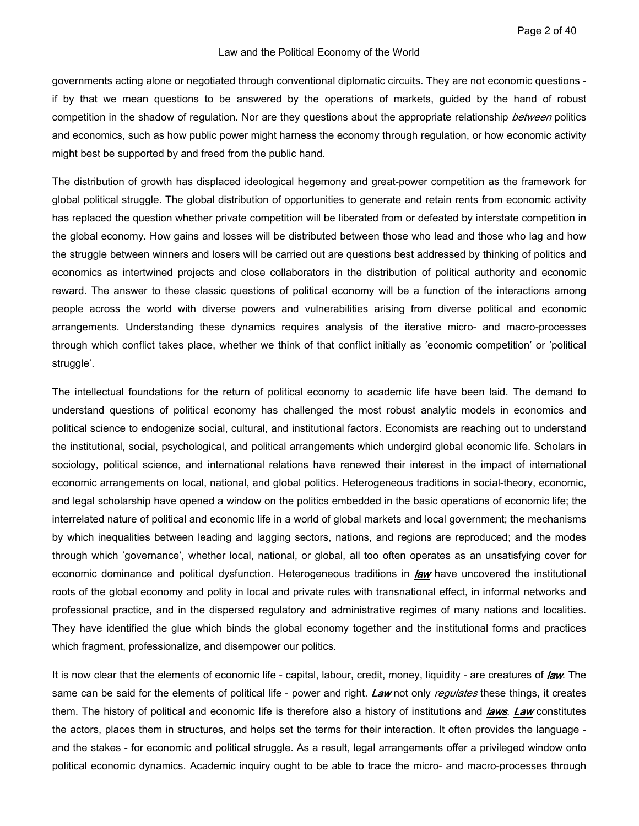governments acting alone or negotiated through conventional diplomatic circuits. They are not economic questions if by that we mean questions to be answered by the operations of markets, guided by the hand of robust competition in the shadow of regulation. Nor are they questions about the appropriate relationship *between* politics and economics, such as how public power might harness the economy through regulation, or how economic activity might best be supported by and freed from the public hand.

The distribution of growth has displaced ideological hegemony and great-power competition as the framework for global political struggle. The global distribution of opportunities to generate and retain rents from economic activity has replaced the question whether private competition will be liberated from or defeated by interstate competition in the global economy. How gains and losses will be distributed between those who lead and those who lag and how the struggle between winners and losers will be carried out are questions best addressed by thinking of politics and economics as intertwined projects and close collaborators in the distribution of political authority and economic reward. The answer to these classic questions of political economy will be a function of the interactions among people across the world with diverse powers and vulnerabilities arising from diverse political and economic arrangements. Understanding these dynamics requires analysis of the iterative micro- and macro-processes through which conflict takes place, whether we think of that conflict initially as ′economic competition′ or ′political struggle′.

The intellectual foundations for the return of political economy to academic life have been laid. The demand to understand questions of political economy has challenged the most robust analytic models in economics and political science to endogenize social, cultural, and institutional factors. Economists are reaching out to understand the institutional, social, psychological, and political arrangements which undergird global economic life. Scholars in sociology, political science, and international relations have renewed their interest in the impact of international economic arrangements on local, national, and global politics. Heterogeneous traditions in social-theory, economic, and legal scholarship have opened a window on the politics embedded in the basic operations of economic life; the interrelated nature of political and economic life in a world of global markets and local government; the mechanisms by which inequalities between leading and lagging sectors, nations, and regions are reproduced; and the modes through which ′governance′, whether local, national, or global, all too often operates as an unsatisfying cover for economic dominance and political dysfunction. Heterogeneous traditions in *law* have uncovered the institutional roots of the global economy and polity in local and private rules with transnational effect, in informal networks and professional practice, and in the dispersed regulatory and administrative regimes of many nations and localities. They have identified the glue which binds the global economy together and the institutional forms and practices which fragment, professionalize, and disempower our politics.

It is now clear that the elements of economic life - capital, labour, credit, money, liquidity - are creatures of *law*. The same can be said for the elements of political life - power and right. *Law* not only *regulates* these things, it creates them. The history of political and economic life is therefore also a history of institutions and *laws*. *Law* constitutes the actors, places them in structures, and helps set the terms for their interaction. It often provides the language and the stakes - for economic and political struggle. As a result, legal arrangements offer a privileged window onto political economic dynamics. Academic inquiry ought to be able to trace the micro- and macro-processes through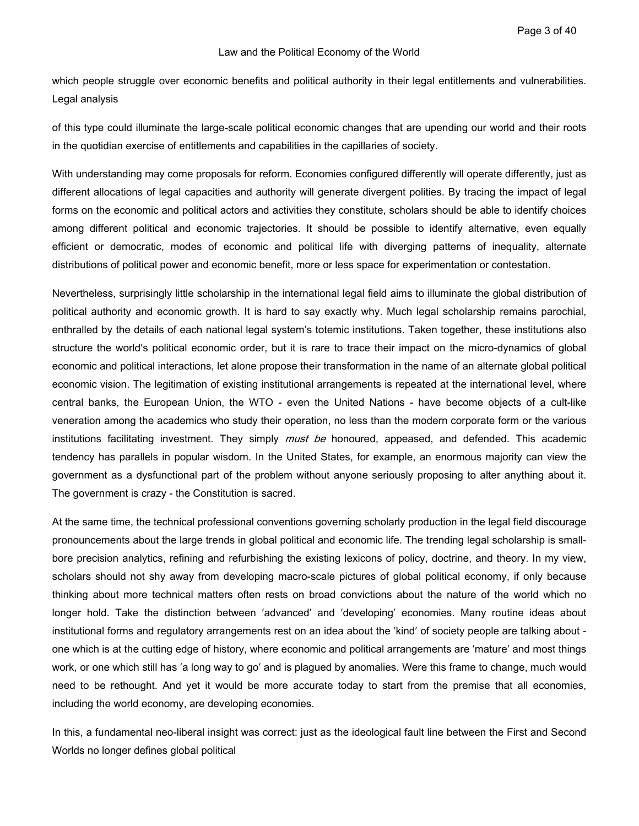which people struggle over economic benefits and political authority in their legal entitlements and vulnerabilities. Legal analysis

of this type could illuminate the large-scale political economic changes that are upending our world and their roots in the quotidian exercise of entitlements and capabilities in the capillaries of society.

With understanding may come proposals for reform. Economies configured differently will operate differently, just as different allocations of legal capacities and authority will generate divergent polities. By tracing the impact of legal forms on the economic and political actors and activities they constitute, scholars should be able to identify choices among different political and economic trajectories. It should be possible to identify alternative, even equally efficient or democratic, modes of economic and political life with diverging patterns of inequality, alternate distributions of political power and economic benefit, more or less space for experimentation or contestation.

Nevertheless, surprisingly little scholarship in the international legal field aims to illuminate the global distribution of political authority and economic growth. It is hard to say exactly why. Much legal scholarship remains parochial, enthralled by the details of each national legal system′s totemic institutions. Taken together, these institutions also structure the world′s political economic order, but it is rare to trace their impact on the micro-dynamics of global economic and political interactions, let alone propose their transformation in the name of an alternate global political economic vision. The legitimation of existing institutional arrangements is repeated at the international level, where central banks, the European Union, the WTO - even the United Nations - have become objects of a cult-like veneration among the academics who study their operation, no less than the modern corporate form or the various institutions facilitating investment. They simply *must be* honoured, appeased, and defended. This academic tendency has parallels in popular wisdom. In the United States, for example, an enormous majority can view the government as a dysfunctional part of the problem without anyone seriously proposing to alter anything about it. The government is crazy - the Constitution is sacred.

At the same time, the technical professional conventions governing scholarly production in the legal field discourage pronouncements about the large trends in global political and economic life. The trending legal scholarship is smallbore precision analytics, refining and refurbishing the existing lexicons of policy, doctrine, and theory. In my view, scholars should not shy away from developing macro-scale pictures of global political economy, if only because thinking about more technical matters often rests on broad convictions about the nature of the world which no longer hold. Take the distinction between ′advanced′ and ′developing′ economies. Many routine ideas about institutional forms and regulatory arrangements rest on an idea about the ′kind′ of society people are talking about one which is at the cutting edge of history, where economic and political arrangements are ′mature′ and most things work, or one which still has ′a long way to go′ and is plagued by anomalies. Were this frame to change, much would need to be rethought. And yet it would be more accurate today to start from the premise that all economies, including the world economy, are developing economies.

In this, a fundamental neo-liberal insight was correct: just as the ideological fault line between the First and Second Worlds no longer defines global political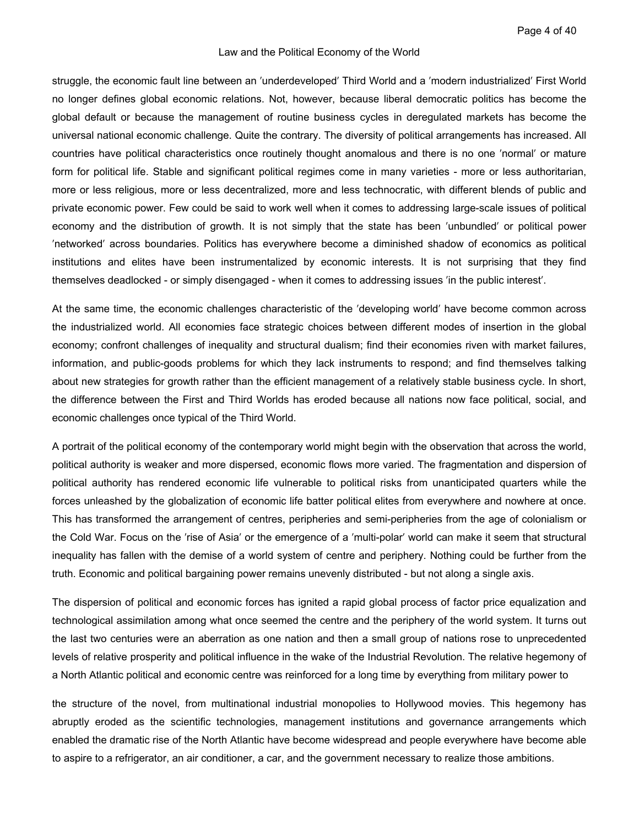struggle, the economic fault line between an ′underdeveloped′ Third World and a ′modern industrialized′ First World no longer defines global economic relations. Not, however, because liberal democratic politics has become the global default or because the management of routine business cycles in deregulated markets has become the universal national economic challenge. Quite the contrary. The diversity of political arrangements has increased. All countries have political characteristics once routinely thought anomalous and there is no one ′normal′ or mature form for political life. Stable and significant political regimes come in many varieties - more or less authoritarian, more or less religious, more or less decentralized, more and less technocratic, with different blends of public and private economic power. Few could be said to work well when it comes to addressing large-scale issues of political economy and the distribution of growth. It is not simply that the state has been ′unbundled′ or political power ′networked′ across boundaries. Politics has everywhere become a diminished shadow of economics as political institutions and elites have been instrumentalized by economic interests. It is not surprising that they find themselves deadlocked - or simply disengaged - when it comes to addressing issues ′in the public interest′.

At the same time, the economic challenges characteristic of the ′developing world′ have become common across the industrialized world. All economies face strategic choices between different modes of insertion in the global economy; confront challenges of inequality and structural dualism; find their economies riven with market failures, information, and public-goods problems for which they lack instruments to respond; and find themselves talking about new strategies for growth rather than the efficient management of a relatively stable business cycle. In short, the difference between the First and Third Worlds has eroded because all nations now face political, social, and economic challenges once typical of the Third World.

A portrait of the political economy of the contemporary world might begin with the observation that across the world, political authority is weaker and more dispersed, economic flows more varied. The fragmentation and dispersion of political authority has rendered economic life vulnerable to political risks from unanticipated quarters while the forces unleashed by the globalization of economic life batter political elites from everywhere and nowhere at once. This has transformed the arrangement of centres, peripheries and semi-peripheries from the age of colonialism or the Cold War. Focus on the ′rise of Asia′ or the emergence of a ′multi-polar′ world can make it seem that structural inequality has fallen with the demise of a world system of centre and periphery. Nothing could be further from the truth. Economic and political bargaining power remains unevenly distributed - but not along a single axis.

The dispersion of political and economic forces has ignited a rapid global process of factor price equalization and technological assimilation among what once seemed the centre and the periphery of the world system. It turns out the last two centuries were an aberration as one nation and then a small group of nations rose to unprecedented levels of relative prosperity and political influence in the wake of the Industrial Revolution. The relative hegemony of a North Atlantic political and economic centre was reinforced for a long time by everything from military power to

the structure of the novel, from multinational industrial monopolies to Hollywood movies. This hegemony has abruptly eroded as the scientific technologies, management institutions and governance arrangements which enabled the dramatic rise of the North Atlantic have become widespread and people everywhere have become able to aspire to a refrigerator, an air conditioner, a car, and the government necessary to realize those ambitions.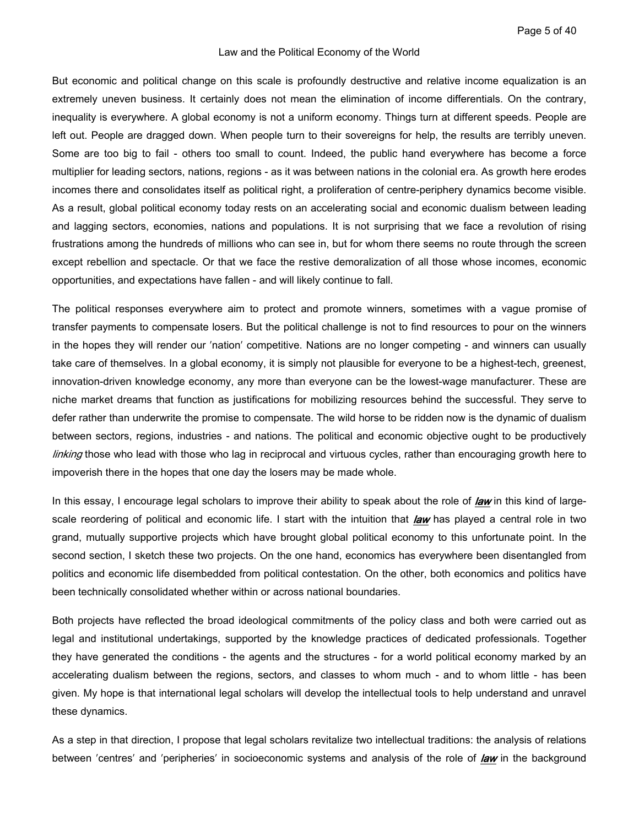But economic and political change on this scale is profoundly destructive and relative income equalization is an extremely uneven business. It certainly does not mean the elimination of income differentials. On the contrary, inequality is everywhere. A global economy is not a uniform economy. Things turn at different speeds. People are left out. People are dragged down. When people turn to their sovereigns for help, the results are terribly uneven. Some are too big to fail - others too small to count. Indeed, the public hand everywhere has become a force multiplier for leading sectors, nations, regions - as it was between nations in the colonial era. As growth here erodes incomes there and consolidates itself as political right, a proliferation of centre-periphery dynamics become visible. As a result, global political economy today rests on an accelerating social and economic dualism between leading and lagging sectors, economies, nations and populations. It is not surprising that we face a revolution of rising frustrations among the hundreds of millions who can see in, but for whom there seems no route through the screen except rebellion and spectacle. Or that we face the restive demoralization of all those whose incomes, economic opportunities, and expectations have fallen - and will likely continue to fall.

The political responses everywhere aim to protect and promote winners, sometimes with a vague promise of transfer payments to compensate losers. But the political challenge is not to find resources to pour on the winners in the hopes they will render our ′nation′ competitive. Nations are no longer competing - and winners can usually take care of themselves. In a global economy, it is simply not plausible for everyone to be a highest-tech, greenest, innovation-driven knowledge economy, any more than everyone can be the lowest-wage manufacturer. These are niche market dreams that function as justifications for mobilizing resources behind the successful. They serve to defer rather than underwrite the promise to compensate. The wild horse to be ridden now is the dynamic of dualism between sectors, regions, industries - and nations. The political and economic objective ought to be productively *linking* those who lead with those who lag in reciprocal and virtuous cycles, rather than encouraging growth here to impoverish there in the hopes that one day the losers may be made whole.

In this essay, I encourage legal scholars to improve their ability to speak about the role of *law* in this kind of largescale reordering of political and economic life. I start with the intuition that *law* has played a central role in two grand, mutually supportive projects which have brought global political economy to this unfortunate point. In the second section, I sketch these two projects. On the one hand, economics has everywhere been disentangled from politics and economic life disembedded from political contestation. On the other, both economics and politics have been technically consolidated whether within or across national boundaries.

Both projects have reflected the broad ideological commitments of the policy class and both were carried out as legal and institutional undertakings, supported by the knowledge practices of dedicated professionals. Together they have generated the conditions - the agents and the structures - for a world political economy marked by an accelerating dualism between the regions, sectors, and classes to whom much - and to whom little - has been given. My hope is that international legal scholars will develop the intellectual tools to help understand and unravel these dynamics.

As a step in that direction, I propose that legal scholars revitalize two intellectual traditions: the analysis of relations between ′centres′ and ′peripheries′ in socioeconomic systems and analysis of the role of *law* in the background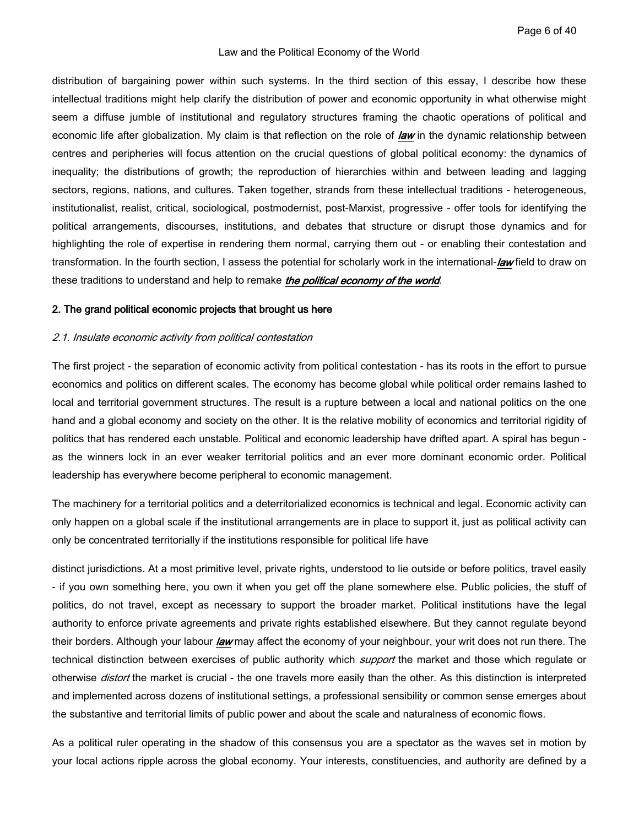distribution of bargaining power within such systems. In the third section of this essay, I describe how these intellectual traditions might help clarify the distribution of power and economic opportunity in what otherwise might seem a diffuse jumble of institutional and regulatory structures framing the chaotic operations of political and economic life after globalization. My claim is that reflection on the role of *law* in the dynamic relationship between centres and peripheries will focus attention on the crucial questions of global political economy: the dynamics of inequality; the distributions of growth; the reproduction of hierarchies within and between leading and lagging sectors, regions, nations, and cultures. Taken together, strands from these intellectual traditions - heterogeneous, institutionalist, realist, critical, sociological, postmodernist, post-Marxist, progressive - offer tools for identifying the political arrangements, discourses, institutions, and debates that structure or disrupt those dynamics and for highlighting the role of expertise in rendering them normal, carrying them out - or enabling their contestation and transformation. In the fourth section, I assess the potential for scholarly work in the international-*law* field to draw on these traditions to understand and help to remake *the political economy of the world*.

#### **2. The grand political economic projects that brought us here**

#### *2.1. Insulate economic activity from political contestation*

The first project - the separation of economic activity from political contestation - has its roots in the effort to pursue economics and politics on different scales. The economy has become global while political order remains lashed to local and territorial government structures. The result is a rupture between a local and national politics on the one hand and a global economy and society on the other. It is the relative mobility of economics and territorial rigidity of politics that has rendered each unstable. Political and economic leadership have drifted apart. A spiral has begun as the winners lock in an ever weaker territorial politics and an ever more dominant economic order. Political leadership has everywhere become peripheral to economic management.

The machinery for a territorial politics and a deterritorialized economics is technical and legal. Economic activity can only happen on a global scale if the institutional arrangements are in place to support it, just as political activity can only be concentrated territorially if the institutions responsible for political life have

distinct jurisdictions. At a most primitive level, private rights, understood to lie outside or before politics, travel easily - if you own something here, you own it when you get off the plane somewhere else. Public policies, the stuff of politics, do not travel, except as necessary to support the broader market. Political institutions have the legal authority to enforce private agreements and private rights established elsewhere. But they cannot regulate beyond their borders. Although your labour *law* may affect the economy of your neighbour, your writ does not run there. The technical distinction between exercises of public authority which *support* the market and those which regulate or otherwise *distort* the market is crucial - the one travels more easily than the other. As this distinction is interpreted and implemented across dozens of institutional settings, a professional sensibility or common sense emerges about the substantive and territorial limits of public power and about the scale and naturalness of economic flows.

As a political ruler operating in the shadow of this consensus you are a spectator as the waves set in motion by your local actions ripple across the global economy. Your interests, constituencies, and authority are defined by a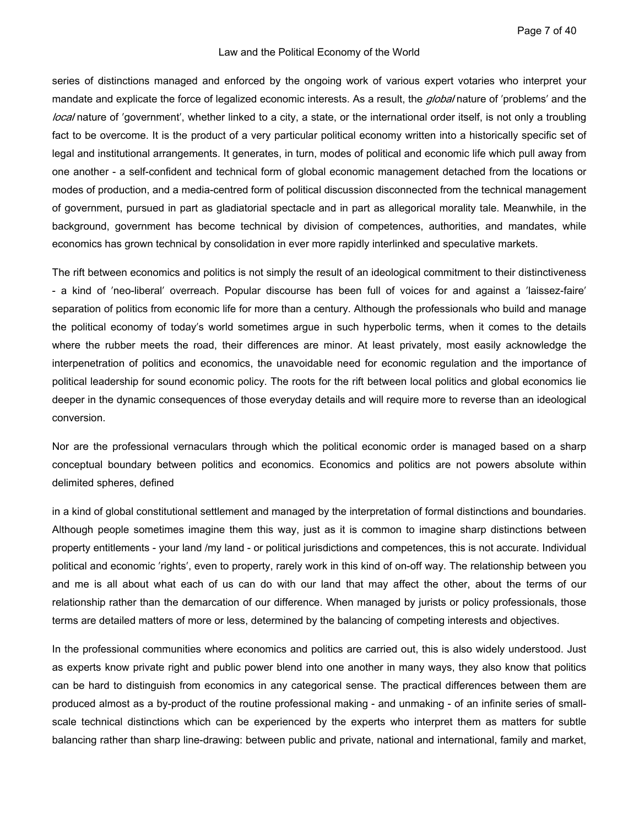series of distinctions managed and enforced by the ongoing work of various expert votaries who interpret your mandate and explicate the force of legalized economic interests. As a result, the *global* nature of ′problems′ and the *local* nature of ′government′, whether linked to a city, a state, or the international order itself, is not only a troubling fact to be overcome. It is the product of a very particular political economy written into a historically specific set of legal and institutional arrangements. It generates, in turn, modes of political and economic life which pull away from one another - a self-confident and technical form of global economic management detached from the locations or modes of production, and a media-centred form of political discussion disconnected from the technical management of government, pursued in part as gladiatorial spectacle and in part as allegorical morality tale. Meanwhile, in the background, government has become technical by division of competences, authorities, and mandates, while economics has grown technical by consolidation in ever more rapidly interlinked and speculative markets.

The rift between economics and politics is not simply the result of an ideological commitment to their distinctiveness - a kind of ′neo-liberal′ overreach. Popular discourse has been full of voices for and against a ′laissez-faire′ separation of politics from economic life for more than a century. Although the professionals who build and manage the political economy of today′s world sometimes argue in such hyperbolic terms, when it comes to the details where the rubber meets the road, their differences are minor. At least privately, most easily acknowledge the interpenetration of politics and economics, the unavoidable need for economic regulation and the importance of political leadership for sound economic policy. The roots for the rift between local politics and global economics lie deeper in the dynamic consequences of those everyday details and will require more to reverse than an ideological conversion.

Nor are the professional vernaculars through which the political economic order is managed based on a sharp conceptual boundary between politics and economics. Economics and politics are not powers absolute within delimited spheres, defined

in a kind of global constitutional settlement and managed by the interpretation of formal distinctions and boundaries. Although people sometimes imagine them this way, just as it is common to imagine sharp distinctions between property entitlements - your land /my land - or political jurisdictions and competences, this is not accurate. Individual political and economic ′rights′, even to property, rarely work in this kind of on-off way. The relationship between you and me is all about what each of us can do with our land that may affect the other, about the terms of our relationship rather than the demarcation of our difference. When managed by jurists or policy professionals, those terms are detailed matters of more or less, determined by the balancing of competing interests and objectives.

In the professional communities where economics and politics are carried out, this is also widely understood. Just as experts know private right and public power blend into one another in many ways, they also know that politics can be hard to distinguish from economics in any categorical sense. The practical differences between them are produced almost as a by-product of the routine professional making - and unmaking - of an infinite series of smallscale technical distinctions which can be experienced by the experts who interpret them as matters for subtle balancing rather than sharp line-drawing: between public and private, national and international, family and market,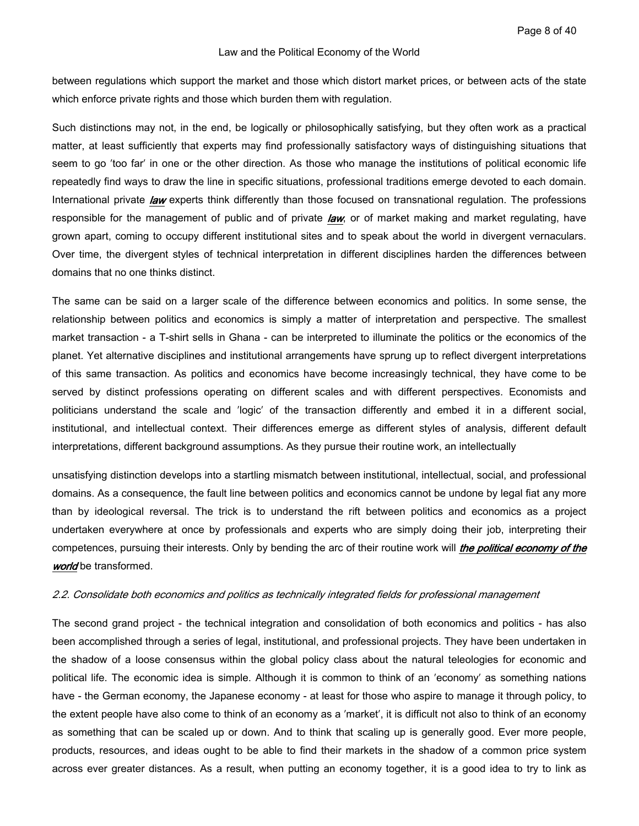between regulations which support the market and those which distort market prices, or between acts of the state which enforce private rights and those which burden them with regulation.

Such distinctions may not, in the end, be logically or philosophically satisfying, but they often work as a practical matter, at least sufficiently that experts may find professionally satisfactory ways of distinguishing situations that seem to go 'too far' in one or the other direction. As those who manage the institutions of political economic life repeatedly find ways to draw the line in specific situations, professional traditions emerge devoted to each domain. International private *law* experts think differently than those focused on transnational regulation. The professions responsible for the management of public and of private *law*, or of market making and market regulating, have grown apart, coming to occupy different institutional sites and to speak about the world in divergent vernaculars. Over time, the divergent styles of technical interpretation in different disciplines harden the differences between domains that no one thinks distinct.

The same can be said on a larger scale of the difference between economics and politics. In some sense, the relationship between politics and economics is simply a matter of interpretation and perspective. The smallest market transaction - a T-shirt sells in Ghana - can be interpreted to illuminate the politics or the economics of the planet. Yet alternative disciplines and institutional arrangements have sprung up to reflect divergent interpretations of this same transaction. As politics and economics have become increasingly technical, they have come to be served by distinct professions operating on different scales and with different perspectives. Economists and politicians understand the scale and ′logic′ of the transaction differently and embed it in a different social, institutional, and intellectual context. Their differences emerge as different styles of analysis, different default interpretations, different background assumptions. As they pursue their routine work, an intellectually

unsatisfying distinction develops into a startling mismatch between institutional, intellectual, social, and professional domains. As a consequence, the fault line between politics and economics cannot be undone by legal fiat any more than by ideological reversal. The trick is to understand the rift between politics and economics as a project undertaken everywhere at once by professionals and experts who are simply doing their job, interpreting their competences, pursuing their interests. Only by bending the arc of their routine work will *the political economy of the world* be transformed.

#### *2.2. Consolidate both economics and politics as technically integrated fields for professional management*

The second grand project - the technical integration and consolidation of both economics and politics - has also been accomplished through a series of legal, institutional, and professional projects. They have been undertaken in the shadow of a loose consensus within the global policy class about the natural teleologies for economic and political life. The economic idea is simple. Although it is common to think of an ′economy′ as something nations have - the German economy, the Japanese economy - at least for those who aspire to manage it through policy, to the extent people have also come to think of an economy as a ′market′, it is difficult not also to think of an economy as something that can be scaled up or down. And to think that scaling up is generally good. Ever more people, products, resources, and ideas ought to be able to find their markets in the shadow of a common price system across ever greater distances. As a result, when putting an economy together, it is a good idea to try to link as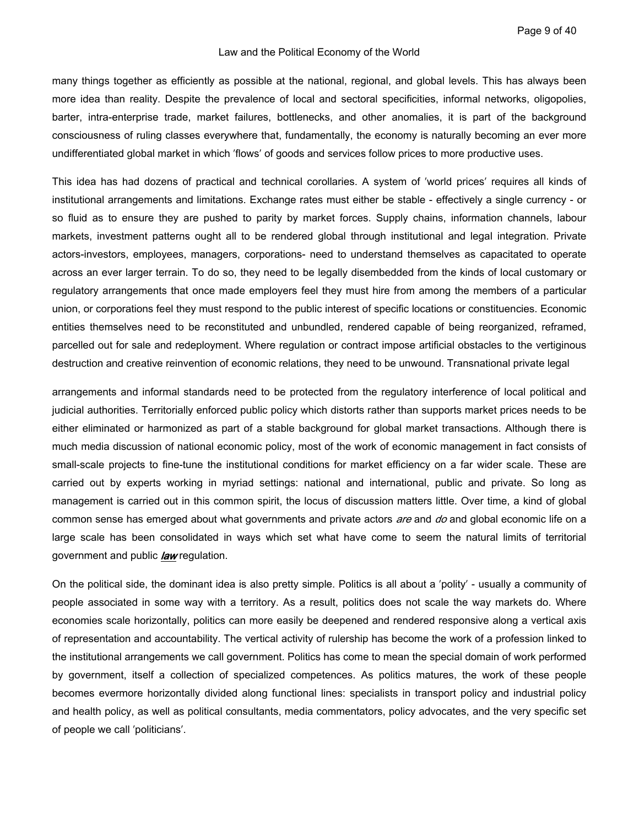many things together as efficiently as possible at the national, regional, and global levels. This has always been more idea than reality. Despite the prevalence of local and sectoral specificities, informal networks, oligopolies, barter, intra-enterprise trade, market failures, bottlenecks, and other anomalies, it is part of the background consciousness of ruling classes everywhere that, fundamentally, the economy is naturally becoming an ever more undifferentiated global market in which ′flows′ of goods and services follow prices to more productive uses.

This idea has had dozens of practical and technical corollaries. A system of ′world prices′ requires all kinds of institutional arrangements and limitations. Exchange rates must either be stable - effectively a single currency - or so fluid as to ensure they are pushed to parity by market forces. Supply chains, information channels, labour markets, investment patterns ought all to be rendered global through institutional and legal integration. Private actors-investors, employees, managers, corporations- need to understand themselves as capacitated to operate across an ever larger terrain. To do so, they need to be legally disembedded from the kinds of local customary or regulatory arrangements that once made employers feel they must hire from among the members of a particular union, or corporations feel they must respond to the public interest of specific locations or constituencies. Economic entities themselves need to be reconstituted and unbundled, rendered capable of being reorganized, reframed, parcelled out for sale and redeployment. Where regulation or contract impose artificial obstacles to the vertiginous destruction and creative reinvention of economic relations, they need to be unwound. Transnational private legal

arrangements and informal standards need to be protected from the regulatory interference of local political and judicial authorities. Territorially enforced public policy which distorts rather than supports market prices needs to be either eliminated or harmonized as part of a stable background for global market transactions. Although there is much media discussion of national economic policy, most of the work of economic management in fact consists of small-scale projects to fine-tune the institutional conditions for market efficiency on a far wider scale. These are carried out by experts working in myriad settings: national and international, public and private. So long as management is carried out in this common spirit, the locus of discussion matters little. Over time, a kind of global common sense has emerged about what governments and private actors *are* and *do* and global economic life on a large scale has been consolidated in ways which set what have come to seem the natural limits of territorial government and public *law* regulation.

On the political side, the dominant idea is also pretty simple. Politics is all about a ′polity′ - usually a community of people associated in some way with a territory. As a result, politics does not scale the way markets do. Where economies scale horizontally, politics can more easily be deepened and rendered responsive along a vertical axis of representation and accountability. The vertical activity of rulership has become the work of a profession linked to the institutional arrangements we call government. Politics has come to mean the special domain of work performed by government, itself a collection of specialized competences. As politics matures, the work of these people becomes evermore horizontally divided along functional lines: specialists in transport policy and industrial policy and health policy, as well as political consultants, media commentators, policy advocates, and the very specific set of people we call ′politicians′.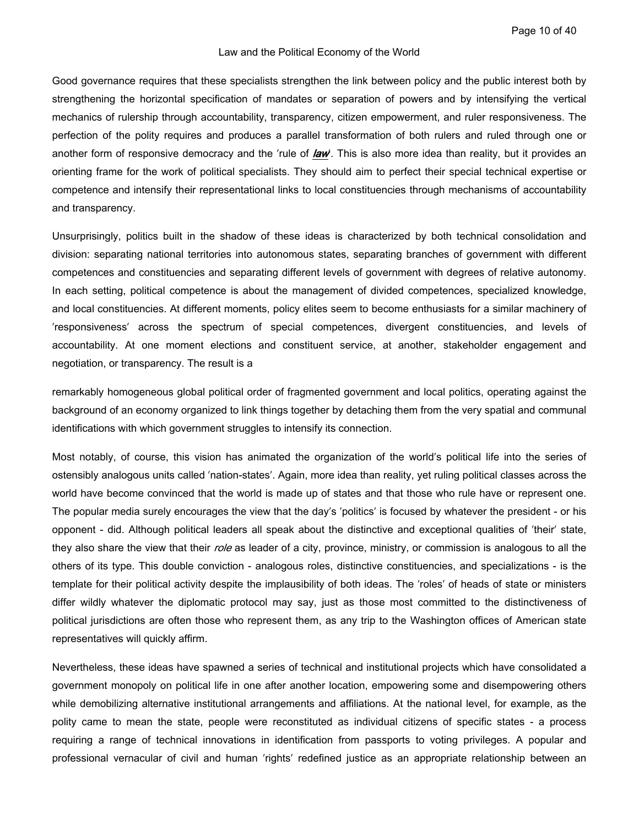Good governance requires that these specialists strengthen the link between policy and the public interest both by strengthening the horizontal specification of mandates or separation of powers and by intensifying the vertical mechanics of rulership through accountability, transparency, citizen empowerment, and ruler responsiveness. The perfection of the polity requires and produces a parallel transformation of both rulers and ruled through one or another form of responsive democracy and the ′rule of *law*′. This is also more idea than reality, but it provides an orienting frame for the work of political specialists. They should aim to perfect their special technical expertise or competence and intensify their representational links to local constituencies through mechanisms of accountability and transparency.

Unsurprisingly, politics built in the shadow of these ideas is characterized by both technical consolidation and division: separating national territories into autonomous states, separating branches of government with different competences and constituencies and separating different levels of government with degrees of relative autonomy. In each setting, political competence is about the management of divided competences, specialized knowledge, and local constituencies. At different moments, policy elites seem to become enthusiasts for a similar machinery of ′responsiveness′ across the spectrum of special competences, divergent constituencies, and levels of accountability. At one moment elections and constituent service, at another, stakeholder engagement and negotiation, or transparency. The result is a

remarkably homogeneous global political order of fragmented government and local politics, operating against the background of an economy organized to link things together by detaching them from the very spatial and communal identifications with which government struggles to intensify its connection.

Most notably, of course, this vision has animated the organization of the world′s political life into the series of ostensibly analogous units called ′nation-states′. Again, more idea than reality, yet ruling political classes across the world have become convinced that the world is made up of states and that those who rule have or represent one. The popular media surely encourages the view that the day's 'politics' is focused by whatever the president - or his opponent - did. Although political leaders all speak about the distinctive and exceptional qualities of ′their′ state, they also share the view that their *role* as leader of a city, province, ministry, or commission is analogous to all the others of its type. This double conviction - analogous roles, distinctive constituencies, and specializations - is the template for their political activity despite the implausibility of both ideas. The ′roles′ of heads of state or ministers differ wildly whatever the diplomatic protocol may say, just as those most committed to the distinctiveness of political jurisdictions are often those who represent them, as any trip to the Washington offices of American state representatives will quickly affirm.

Nevertheless, these ideas have spawned a series of technical and institutional projects which have consolidated a government monopoly on political life in one after another location, empowering some and disempowering others while demobilizing alternative institutional arrangements and affiliations. At the national level, for example, as the polity came to mean the state, people were reconstituted as individual citizens of specific states - a process requiring a range of technical innovations in identification from passports to voting privileges. A popular and professional vernacular of civil and human ′rights′ redefined justice as an appropriate relationship between an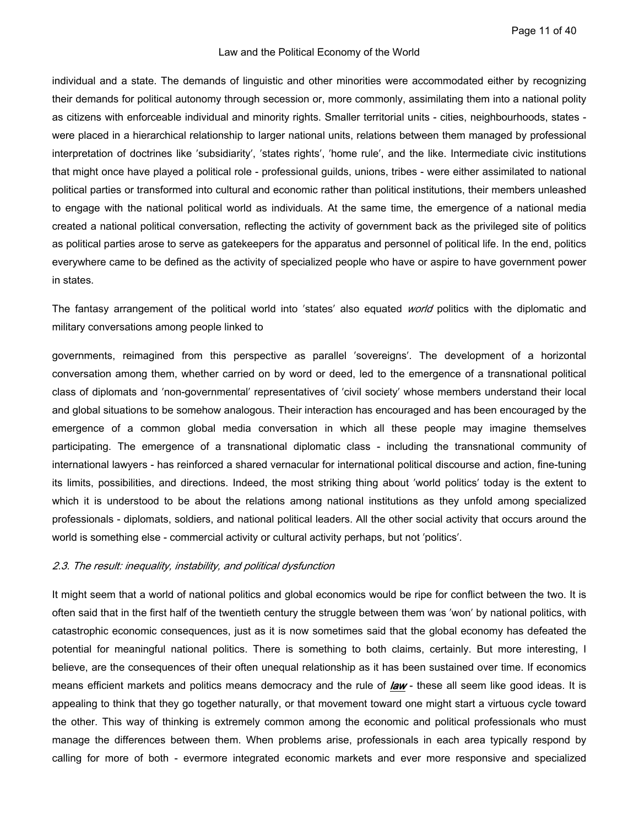individual and a state. The demands of linguistic and other minorities were accommodated either by recognizing their demands for political autonomy through secession or, more commonly, assimilating them into a national polity as citizens with enforceable individual and minority rights. Smaller territorial units - cities, neighbourhoods, states were placed in a hierarchical relationship to larger national units, relations between them managed by professional interpretation of doctrines like ′subsidiarity′, ′states rights′, ′home rule′, and the like. Intermediate civic institutions that might once have played a political role - professional guilds, unions, tribes - were either assimilated to national political parties or transformed into cultural and economic rather than political institutions, their members unleashed to engage with the national political world as individuals. At the same time, the emergence of a national media created a national political conversation, reflecting the activity of government back as the privileged site of politics as political parties arose to serve as gatekeepers for the apparatus and personnel of political life. In the end, politics everywhere came to be defined as the activity of specialized people who have or aspire to have government power in states.

The fantasy arrangement of the political world into ′states′ also equated *world* politics with the diplomatic and military conversations among people linked to

governments, reimagined from this perspective as parallel ′sovereigns′. The development of a horizontal conversation among them, whether carried on by word or deed, led to the emergence of a transnational political class of diplomats and ′non-governmental′ representatives of ′civil society′ whose members understand their local and global situations to be somehow analogous. Their interaction has encouraged and has been encouraged by the emergence of a common global media conversation in which all these people may imagine themselves participating. The emergence of a transnational diplomatic class - including the transnational community of international lawyers - has reinforced a shared vernacular for international political discourse and action, fine-tuning its limits, possibilities, and directions. Indeed, the most striking thing about ′world politics′ today is the extent to which it is understood to be about the relations among national institutions as they unfold among specialized professionals - diplomats, soldiers, and national political leaders. All the other social activity that occurs around the world is something else - commercial activity or cultural activity perhaps, but not 'politics'.

#### *2.3. The result: inequality, instability, and political dysfunction*

It might seem that a world of national politics and global economics would be ripe for conflict between the two. It is often said that in the first half of the twentieth century the struggle between them was ′won′ by national politics, with catastrophic economic consequences, just as it is now sometimes said that the global economy has defeated the potential for meaningful national politics. There is something to both claims, certainly. But more interesting, I believe, are the consequences of their often unequal relationship as it has been sustained over time. If economics means efficient markets and politics means democracy and the rule of *law* - these all seem like good ideas. It is appealing to think that they go together naturally, or that movement toward one might start a virtuous cycle toward the other. This way of thinking is extremely common among the economic and political professionals who must manage the differences between them. When problems arise, professionals in each area typically respond by calling for more of both - evermore integrated economic markets and ever more responsive and specialized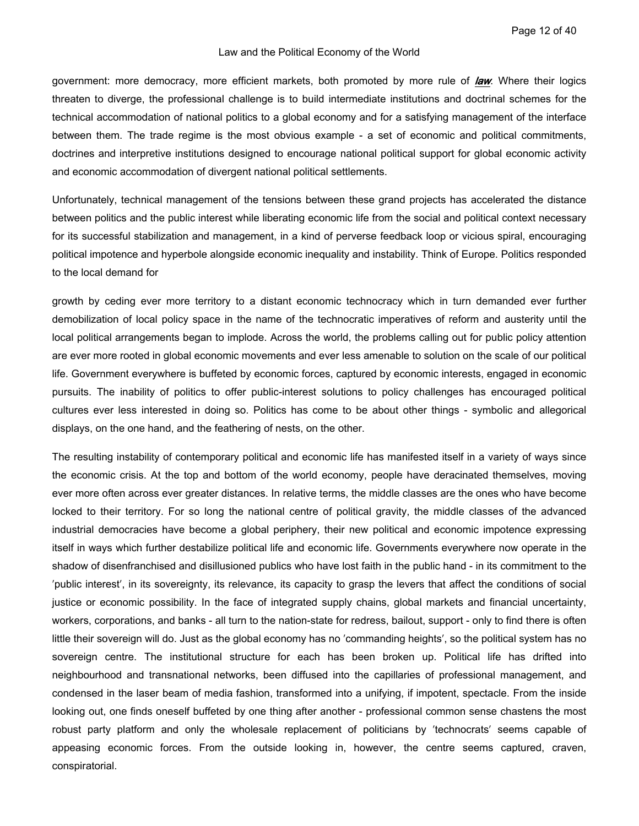government: more democracy, more efficient markets, both promoted by more rule of *law*. Where their logics threaten to diverge, the professional challenge is to build intermediate institutions and doctrinal schemes for the technical accommodation of national politics to a global economy and for a satisfying management of the interface between them. The trade regime is the most obvious example - a set of economic and political commitments, doctrines and interpretive institutions designed to encourage national political support for global economic activity and economic accommodation of divergent national political settlements.

Unfortunately, technical management of the tensions between these grand projects has accelerated the distance between politics and the public interest while liberating economic life from the social and political context necessary for its successful stabilization and management, in a kind of perverse feedback loop or vicious spiral, encouraging political impotence and hyperbole alongside economic inequality and instability. Think of Europe. Politics responded to the local demand for

growth by ceding ever more territory to a distant economic technocracy which in turn demanded ever further demobilization of local policy space in the name of the technocratic imperatives of reform and austerity until the local political arrangements began to implode. Across the world, the problems calling out for public policy attention are ever more rooted in global economic movements and ever less amenable to solution on the scale of our political life. Government everywhere is buffeted by economic forces, captured by economic interests, engaged in economic pursuits. The inability of politics to offer public-interest solutions to policy challenges has encouraged political cultures ever less interested in doing so. Politics has come to be about other things - symbolic and allegorical displays, on the one hand, and the feathering of nests, on the other.

The resulting instability of contemporary political and economic life has manifested itself in a variety of ways since the economic crisis. At the top and bottom of the world economy, people have deracinated themselves, moving ever more often across ever greater distances. In relative terms, the middle classes are the ones who have become locked to their territory. For so long the national centre of political gravity, the middle classes of the advanced industrial democracies have become a global periphery, their new political and economic impotence expressing itself in ways which further destabilize political life and economic life. Governments everywhere now operate in the shadow of disenfranchised and disillusioned publics who have lost faith in the public hand - in its commitment to the ′public interest′, in its sovereignty, its relevance, its capacity to grasp the levers that affect the conditions of social justice or economic possibility. In the face of integrated supply chains, global markets and financial uncertainty, workers, corporations, and banks - all turn to the nation-state for redress, bailout, support - only to find there is often little their sovereign will do. Just as the global economy has no ′commanding heights′, so the political system has no sovereign centre. The institutional structure for each has been broken up. Political life has drifted into neighbourhood and transnational networks, been diffused into the capillaries of professional management, and condensed in the laser beam of media fashion, transformed into a unifying, if impotent, spectacle. From the inside looking out, one finds oneself buffeted by one thing after another - professional common sense chastens the most robust party platform and only the wholesale replacement of politicians by ′technocrats′ seems capable of appeasing economic forces. From the outside looking in, however, the centre seems captured, craven, conspiratorial.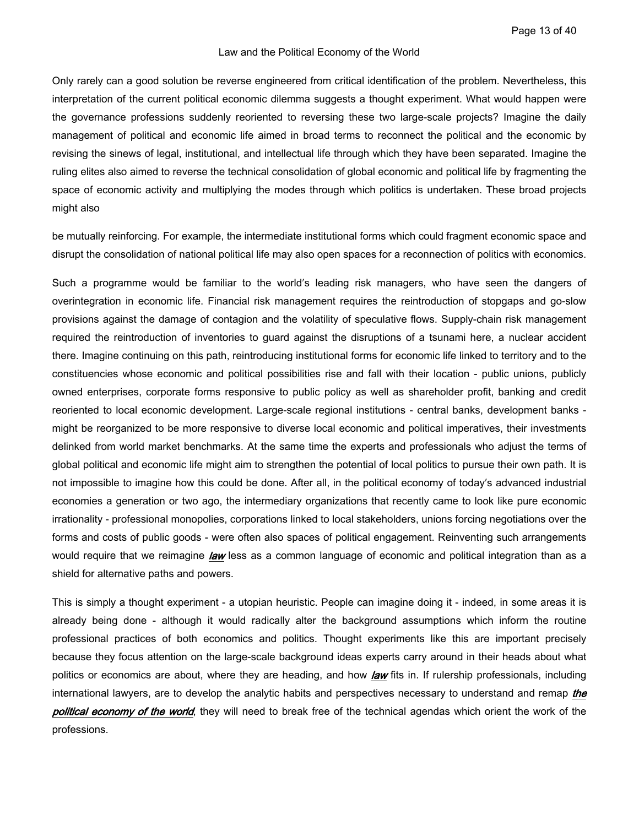Only rarely can a good solution be reverse engineered from critical identification of the problem. Nevertheless, this interpretation of the current political economic dilemma suggests a thought experiment. What would happen were the governance professions suddenly reoriented to reversing these two large-scale projects? Imagine the daily management of political and economic life aimed in broad terms to reconnect the political and the economic by revising the sinews of legal, institutional, and intellectual life through which they have been separated. Imagine the ruling elites also aimed to reverse the technical consolidation of global economic and political life by fragmenting the space of economic activity and multiplying the modes through which politics is undertaken. These broad projects might also

be mutually reinforcing. For example, the intermediate institutional forms which could fragment economic space and disrupt the consolidation of national political life may also open spaces for a reconnection of politics with economics.

Such a programme would be familiar to the world′s leading risk managers, who have seen the dangers of overintegration in economic life. Financial risk management requires the reintroduction of stopgaps and go-slow provisions against the damage of contagion and the volatility of speculative flows. Supply-chain risk management required the reintroduction of inventories to guard against the disruptions of a tsunami here, a nuclear accident there. Imagine continuing on this path, reintroducing institutional forms for economic life linked to territory and to the constituencies whose economic and political possibilities rise and fall with their location - public unions, publicly owned enterprises, corporate forms responsive to public policy as well as shareholder profit, banking and credit reoriented to local economic development. Large-scale regional institutions - central banks, development banks might be reorganized to be more responsive to diverse local economic and political imperatives, their investments delinked from world market benchmarks. At the same time the experts and professionals who adjust the terms of global political and economic life might aim to strengthen the potential of local politics to pursue their own path. It is not impossible to imagine how this could be done. After all, in the political economy of today′s advanced industrial economies a generation or two ago, the intermediary organizations that recently came to look like pure economic irrationality - professional monopolies, corporations linked to local stakeholders, unions forcing negotiations over the forms and costs of public goods - were often also spaces of political engagement. Reinventing such arrangements would require that we reimagine *law* less as a common language of economic and political integration than as a shield for alternative paths and powers.

This is simply a thought experiment - a utopian heuristic. People can imagine doing it - indeed, in some areas it is already being done - although it would radically alter the background assumptions which inform the routine professional practices of both economics and politics. Thought experiments like this are important precisely because they focus attention on the large-scale background ideas experts carry around in their heads about what politics or economics are about, where they are heading, and how *law* fits in. If rulership professionals, including international lawyers, are to develop the analytic habits and perspectives necessary to understand and remap *the political economy of the world*, they will need to break free of the technical agendas which orient the work of the professions.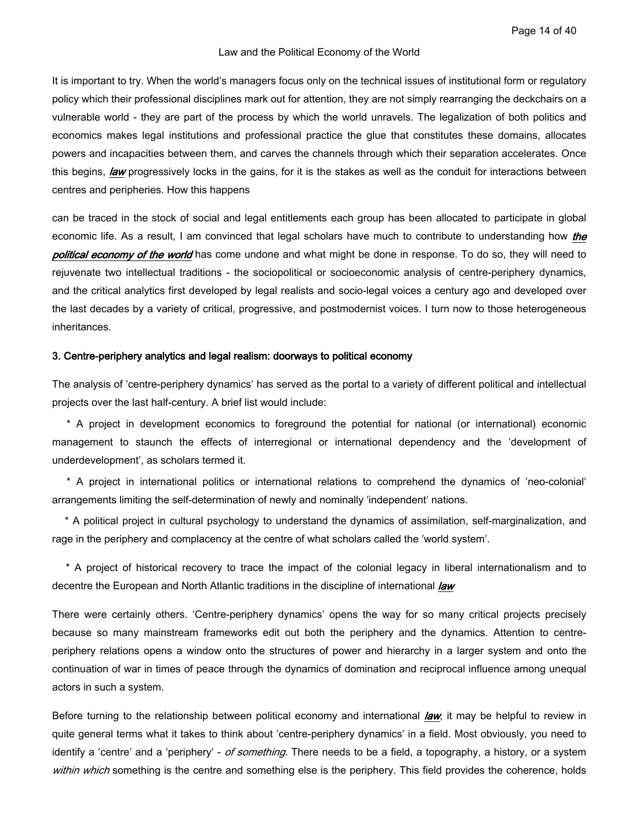It is important to try. When the world's managers focus only on the technical issues of institutional form or regulatory policy which their professional disciplines mark out for attention, they are not simply rearranging the deckchairs on a vulnerable world - they are part of the process by which the world unravels. The legalization of both politics and economics makes legal institutions and professional practice the glue that constitutes these domains, allocates powers and incapacities between them, and carves the channels through which their separation accelerates. Once this begins, *law* progressively locks in the gains, for it is the stakes as well as the conduit for interactions between centres and peripheries. How this happens

can be traced in the stock of social and legal entitlements each group has been allocated to participate in global economic life. As a result, I am convinced that legal scholars have much to contribute to understanding how *the political economy of the world* has come undone and what might be done in response. To do so, they will need to rejuvenate two intellectual traditions - the sociopolitical or socioeconomic analysis of centre-periphery dynamics, and the critical analytics first developed by legal realists and socio-legal voices a century ago and developed over the last decades by a variety of critical, progressive, and postmodernist voices. I turn now to those heterogeneous inheritances.

#### **3. Centre-periphery analytics and legal realism: doorways to political economy**

The analysis of ′centre-periphery dynamics′ has served as the portal to a variety of different political and intellectual projects over the last half-century. A brief list would include:

 \* A project in development economics to foreground the potential for national (or international) economic management to staunch the effects of interregional or international dependency and the ′development of underdevelopment′, as scholars termed it.

 \* A project in international politics or international relations to comprehend the dynamics of ′neo-colonial′ arrangements limiting the self-determination of newly and nominally ′independent′ nations.

 \* A political project in cultural psychology to understand the dynamics of assimilation, self-marginalization, and rage in the periphery and complacency at the centre of what scholars called the ′world system′.

 \* A project of historical recovery to trace the impact of the colonial legacy in liberal internationalism and to decentre the European and North Atlantic traditions in the discipline of international *law*

There were certainly others. ′Centre-periphery dynamics′ opens the way for so many critical projects precisely because so many mainstream frameworks edit out both the periphery and the dynamics. Attention to centreperiphery relations opens a window onto the structures of power and hierarchy in a larger system and onto the continuation of war in times of peace through the dynamics of domination and reciprocal influence among unequal actors in such a system.

Before turning to the relationship between political economy and international *law*, it may be helpful to review in quite general terms what it takes to think about ′centre-periphery dynamics′ in a field. Most obviously, you need to identify a ′centre′ and a ′periphery′ - *of something.* There needs to be a field, a topography, a history, or a system *within which* something is the centre and something else is the periphery. This field provides the coherence, holds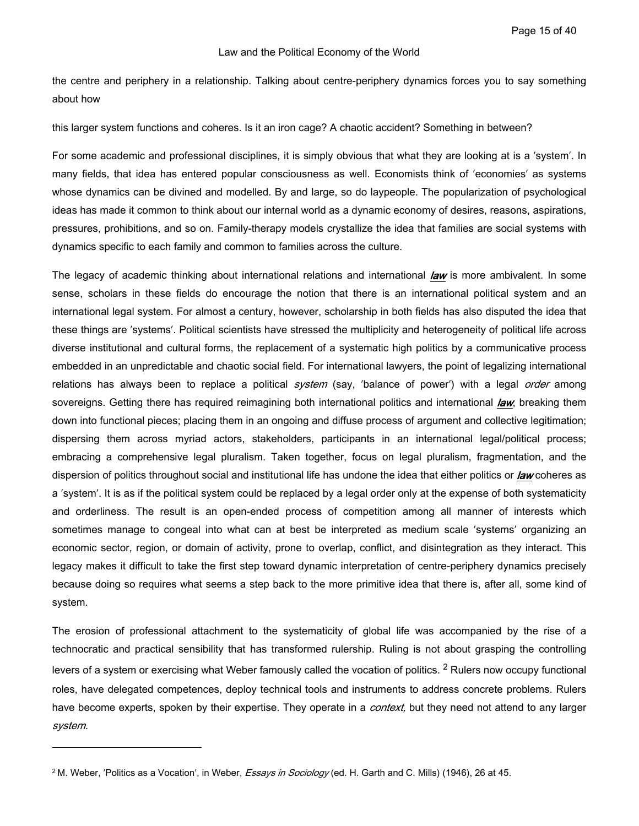the centre and periphery in a relationship. Talking about centre-periphery dynamics forces you to say something about how

this larger system functions and coheres. Is it an iron cage? A chaotic accident? Something in between?

For some academic and professional disciplines, it is simply obvious that what they are looking at is a ′system′. In many fields, that idea has entered popular consciousness as well. Economists think of ′economies′ as systems whose dynamics can be divined and modelled. By and large, so do laypeople. The popularization of psychological ideas has made it common to think about our internal world as a dynamic economy of desires, reasons, aspirations, pressures, prohibitions, and so on. Family-therapy models crystallize the idea that families are social systems with dynamics specific to each family and common to families across the culture.

The legacy of academic thinking about international relations and international *law* is more ambivalent. In some sense, scholars in these fields do encourage the notion that there is an international political system and an international legal system. For almost a century, however, scholarship in both fields has also disputed the idea that these things are ′systems′. Political scientists have stressed the multiplicity and heterogeneity of political life across diverse institutional and cultural forms, the replacement of a systematic high politics by a communicative process embedded in an unpredictable and chaotic social field. For international lawyers, the point of legalizing international relations has always been to replace a political *system* (say, ′balance of power′) with a legal *order* among sovereigns. Getting there has required reimagining both international politics and international *law*; breaking them down into functional pieces; placing them in an ongoing and diffuse process of argument and collective legitimation; dispersing them across myriad actors, stakeholders, participants in an international legal/political process; embracing a comprehensive legal pluralism. Taken together, focus on legal pluralism, fragmentation, and the dispersion of politics throughout social and institutional life has undone the idea that either politics or *law* coheres as a ′system′. It is as if the political system could be replaced by a legal order only at the expense of both systematicity and orderliness. The result is an open-ended process of competition among all manner of interests which sometimes manage to congeal into what can at best be interpreted as medium scale 'systems' organizing an economic sector, region, or domain of activity, prone to overlap, conflict, and disintegration as they interact. This legacy makes it difficult to take the first step toward dynamic interpretation of centre-periphery dynamics precisely because doing so requires what seems a step back to the more primitive idea that there is, after all, some kind of system.

The erosion of professional attachment to the systematicity of global life was accompanied by the rise of a technocratic and practical sensibility that has transformed rulership. Ruling is not about grasping the controlling levers of a system or exercising what Weber famously called the vocation of politics. <sup>2</sup> Rulers now occupy functional roles, have delegated competences, deploy technical tools and instruments to address concrete problems. Rulers have become experts, spoken by their expertise. They operate in a *context,* but they need not attend to any larger *system.*

<sup>2</sup>M. Weber, ′Politics as a Vocation′, in Weber, *Essays in Sociology* (ed. H. Garth and C. Mills) (1946), 26 at 45.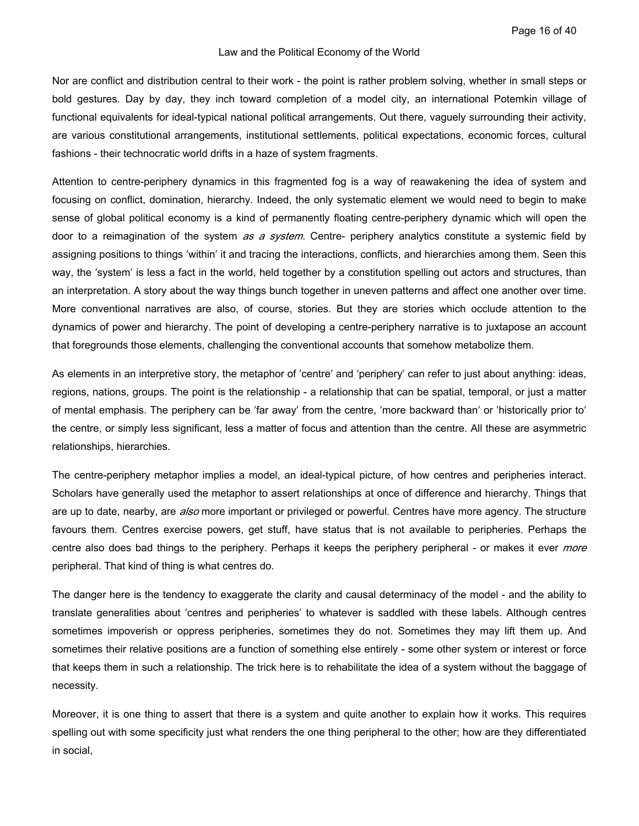Nor are conflict and distribution central to their work - the point is rather problem solving, whether in small steps or bold gestures. Day by day, they inch toward completion of a model city, an international Potemkin village of functional equivalents for ideal-typical national political arrangements. Out there, vaguely surrounding their activity, are various constitutional arrangements, institutional settlements, political expectations, economic forces, cultural fashions - their technocratic world drifts in a haze of system fragments.

Attention to centre-periphery dynamics in this fragmented fog is a way of reawakening the idea of system and focusing on conflict, domination, hierarchy. Indeed, the only systematic element we would need to begin to make sense of global political economy is a kind of permanently floating centre-periphery dynamic which will open the door to a reimagination of the system *as a system.* Centre- periphery analytics constitute a systemic field by assigning positions to things ′within′ it and tracing the interactions, conflicts, and hierarchies among them. Seen this way, the ′system′ is less a fact in the world, held together by a constitution spelling out actors and structures, than an interpretation. A story about the way things bunch together in uneven patterns and affect one another over time. More conventional narratives are also, of course, stories. But they are stories which occlude attention to the dynamics of power and hierarchy. The point of developing a centre-periphery narrative is to juxtapose an account that foregrounds those elements, challenging the conventional accounts that somehow metabolize them.

As elements in an interpretive story, the metaphor of 'centre' and 'periphery' can refer to just about anything: ideas, regions, nations, groups. The point is the relationship - a relationship that can be spatial, temporal, or just a matter of mental emphasis. The periphery can be ′far away′ from the centre, ′more backward than′ or ′historically prior to′ the centre, or simply less significant, less a matter of focus and attention than the centre. All these are asymmetric relationships, hierarchies.

The centre-periphery metaphor implies a model, an ideal-typical picture, of how centres and peripheries interact. Scholars have generally used the metaphor to assert relationships at once of difference and hierarchy. Things that are up to date, nearby, are *also* more important or privileged or powerful. Centres have more agency. The structure favours them. Centres exercise powers, get stuff, have status that is not available to peripheries. Perhaps the centre also does bad things to the periphery. Perhaps it keeps the periphery peripheral - or makes it ever *more*  peripheral. That kind of thing is what centres do.

The danger here is the tendency to exaggerate the clarity and causal determinacy of the model - and the ability to translate generalities about ′centres and peripheries′ to whatever is saddled with these labels. Although centres sometimes impoverish or oppress peripheries, sometimes they do not. Sometimes they may lift them up. And sometimes their relative positions are a function of something else entirely - some other system or interest or force that keeps them in such a relationship. The trick here is to rehabilitate the idea of a system without the baggage of necessity.

Moreover, it is one thing to assert that there is a system and quite another to explain how it works. This requires spelling out with some specificity just what renders the one thing peripheral to the other; how are they differentiated in social,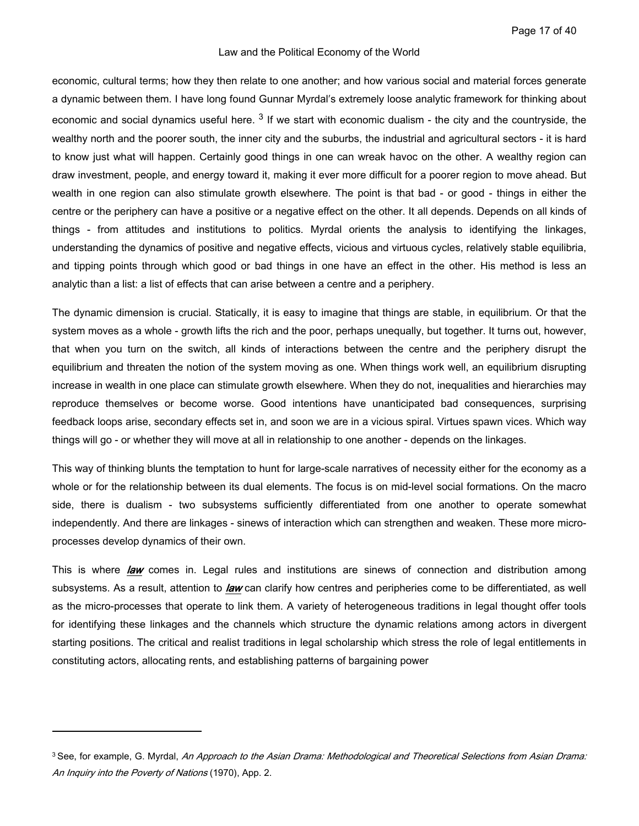economic, cultural terms; how they then relate to one another; and how various social and material forces generate a dynamic between them. I have long found Gunnar Myrdal′s extremely loose analytic framework for thinking about economic and social dynamics useful here. <sup>3</sup> If we start with economic dualism - the city and the countryside, the wealthy north and the poorer south, the inner city and the suburbs, the industrial and agricultural sectors - it is hard to know just what will happen. Certainly good things in one can wreak havoc on the other. A wealthy region can draw investment, people, and energy toward it, making it ever more difficult for a poorer region to move ahead. But wealth in one region can also stimulate growth elsewhere. The point is that bad - or good - things in either the centre or the periphery can have a positive or a negative effect on the other. It all depends. Depends on all kinds of things - from attitudes and institutions to politics. Myrdal orients the analysis to identifying the linkages, understanding the dynamics of positive and negative effects, vicious and virtuous cycles, relatively stable equilibria, and tipping points through which good or bad things in one have an effect in the other. His method is less an analytic than a list: a list of effects that can arise between a centre and a periphery.

The dynamic dimension is crucial. Statically, it is easy to imagine that things are stable, in equilibrium. Or that the system moves as a whole - growth lifts the rich and the poor, perhaps unequally, but together. It turns out, however, that when you turn on the switch, all kinds of interactions between the centre and the periphery disrupt the equilibrium and threaten the notion of the system moving as one. When things work well, an equilibrium disrupting increase in wealth in one place can stimulate growth elsewhere. When they do not, inequalities and hierarchies may reproduce themselves or become worse. Good intentions have unanticipated bad consequences, surprising feedback loops arise, secondary effects set in, and soon we are in a vicious spiral. Virtues spawn vices. Which way things will go - or whether they will move at all in relationship to one another - depends on the linkages.

This way of thinking blunts the temptation to hunt for large-scale narratives of necessity either for the economy as a whole or for the relationship between its dual elements. The focus is on mid-level social formations. On the macro side, there is dualism - two subsystems sufficiently differentiated from one another to operate somewhat independently. And there are linkages - sinews of interaction which can strengthen and weaken. These more microprocesses develop dynamics of their own.

This is where *law* comes in. Legal rules and institutions are sinews of connection and distribution among subsystems. As a result, attention to *law* can clarify how centres and peripheries come to be differentiated, as well as the micro-processes that operate to link them. A variety of heterogeneous traditions in legal thought offer tools for identifying these linkages and the channels which structure the dynamic relations among actors in divergent starting positions. The critical and realist traditions in legal scholarship which stress the role of legal entitlements in constituting actors, allocating rents, and establishing patterns of bargaining power

<sup>3</sup>See, for example, G. Myrdal, *An Approach to the Asian Drama: Methodological and Theoretical Selections from Asian Drama: An Inquiry into the Poverty of Nations* (1970), App. 2.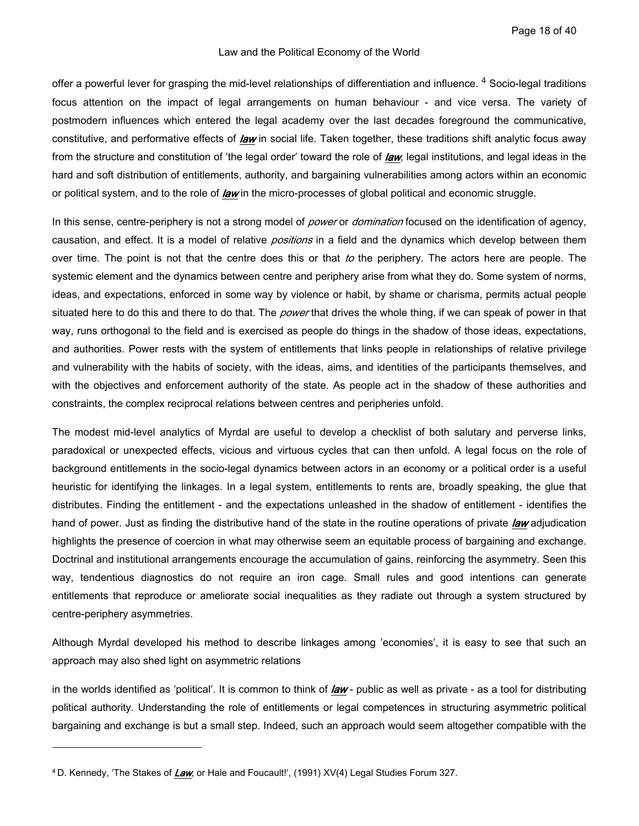offer a powerful lever for grasping the mid-level relationships of differentiation and influence. <sup>4</sup> Socio-legal traditions focus attention on the impact of legal arrangements on human behaviour - and vice versa. The variety of postmodern influences which entered the legal academy over the last decades foreground the communicative, constitutive, and performative effects of *law* in social life. Taken together, these traditions shift analytic focus away from the structure and constitution of ′the legal order′ toward the role of *law*, legal institutions, and legal ideas in the hard and soft distribution of entitlements, authority, and bargaining vulnerabilities among actors within an economic or political system, and to the role of *law* in the micro-processes of global political and economic struggle.

In this sense, centre-periphery is not a strong model of *power* or *domination* focused on the identification of agency, causation, and effect. It is a model of relative *positions* in a field and the dynamics which develop between them over time. The point is not that the centre does this or that *to* the periphery. The actors here are people. The systemic element and the dynamics between centre and periphery arise from what they do. Some system of norms, ideas, and expectations, enforced in some way by violence or habit, by shame or charisma, permits actual people situated here to do this and there to do that. The *power* that drives the whole thing, if we can speak of power in that way, runs orthogonal to the field and is exercised as people do things in the shadow of those ideas, expectations, and authorities. Power rests with the system of entitlements that links people in relationships of relative privilege and vulnerability with the habits of society, with the ideas, aims, and identities of the participants themselves, and with the objectives and enforcement authority of the state. As people act in the shadow of these authorities and constraints, the complex reciprocal relations between centres and peripheries unfold.

The modest mid-level analytics of Myrdal are useful to develop a checklist of both salutary and perverse links, paradoxical or unexpected effects, vicious and virtuous cycles that can then unfold. A legal focus on the role of background entitlements in the socio-legal dynamics between actors in an economy or a political order is a useful heuristic for identifying the linkages. In a legal system, entitlements to rents are, broadly speaking, the glue that distributes. Finding the entitlement - and the expectations unleashed in the shadow of entitlement - identifies the hand of power. Just as finding the distributive hand of the state in the routine operations of private *law* adjudication highlights the presence of coercion in what may otherwise seem an equitable process of bargaining and exchange. Doctrinal and institutional arrangements encourage the accumulation of gains, reinforcing the asymmetry. Seen this way, tendentious diagnostics do not require an iron cage. Small rules and good intentions can generate entitlements that reproduce or ameliorate social inequalities as they radiate out through a system structured by centre-periphery asymmetries.

Although Myrdal developed his method to describe linkages among ′economies′, it is easy to see that such an approach may also shed light on asymmetric relations

in the worlds identified as ′political′. It is common to think of *law* - public as well as private - as a tool for distributing political authority. Understanding the role of entitlements or legal competences in structuring asymmetric political bargaining and exchange is but a small step. Indeed, such an approach would seem altogether compatible with the

<sup>4</sup>D. Kennedy, ′The Stakes of *Law*, or Hale and Foucault!′, (1991) XV(4) Legal Studies Forum 327.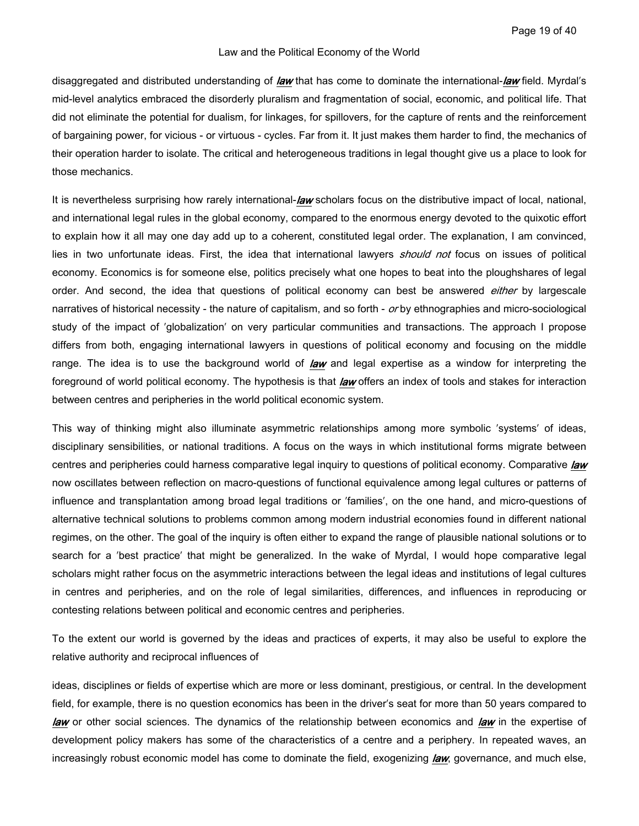disaggregated and distributed understanding of *law* that has come to dominate the international-*law* field. Myrdal′s mid-level analytics embraced the disorderly pluralism and fragmentation of social, economic, and political life. That did not eliminate the potential for dualism, for linkages, for spillovers, for the capture of rents and the reinforcement of bargaining power, for vicious - or virtuous - cycles. Far from it. It just makes them harder to find, the mechanics of their operation harder to isolate. The critical and heterogeneous traditions in legal thought give us a place to look for those mechanics.

It is nevertheless surprising how rarely international-*law* scholars focus on the distributive impact of local, national, and international legal rules in the global economy, compared to the enormous energy devoted to the quixotic effort to explain how it all may one day add up to a coherent, constituted legal order. The explanation, I am convinced, lies in two unfortunate ideas. First, the idea that international lawyers *should not* focus on issues of political economy. Economics is for someone else, politics precisely what one hopes to beat into the ploughshares of legal order. And second, the idea that questions of political economy can best be answered *either* by largescale narratives of historical necessity - the nature of capitalism, and so forth - *or* by ethnographies and micro-sociological study of the impact of ′globalization′ on very particular communities and transactions. The approach I propose differs from both, engaging international lawyers in questions of political economy and focusing on the middle range. The idea is to use the background world of *law* and legal expertise as a window for interpreting the foreground of world political economy. The hypothesis is that *law* offers an index of tools and stakes for interaction between centres and peripheries in the world political economic system.

This way of thinking might also illuminate asymmetric relationships among more symbolic ′systems′ of ideas, disciplinary sensibilities, or national traditions. A focus on the ways in which institutional forms migrate between centres and peripheries could harness comparative legal inquiry to questions of political economy. Comparative *law* now oscillates between reflection on macro-questions of functional equivalence among legal cultures or patterns of influence and transplantation among broad legal traditions or ′families′, on the one hand, and micro-questions of alternative technical solutions to problems common among modern industrial economies found in different national regimes, on the other. The goal of the inquiry is often either to expand the range of plausible national solutions or to search for a ′best practice′ that might be generalized. In the wake of Myrdal, I would hope comparative legal scholars might rather focus on the asymmetric interactions between the legal ideas and institutions of legal cultures in centres and peripheries, and on the role of legal similarities, differences, and influences in reproducing or contesting relations between political and economic centres and peripheries.

To the extent our world is governed by the ideas and practices of experts, it may also be useful to explore the relative authority and reciprocal influences of

ideas, disciplines or fields of expertise which are more or less dominant, prestigious, or central. In the development field, for example, there is no question economics has been in the driver′s seat for more than 50 years compared to *law* or other social sciences. The dynamics of the relationship between economics and *law* in the expertise of development policy makers has some of the characteristics of a centre and a periphery. In repeated waves, an increasingly robust economic model has come to dominate the field, exogenizing *law*, governance, and much else,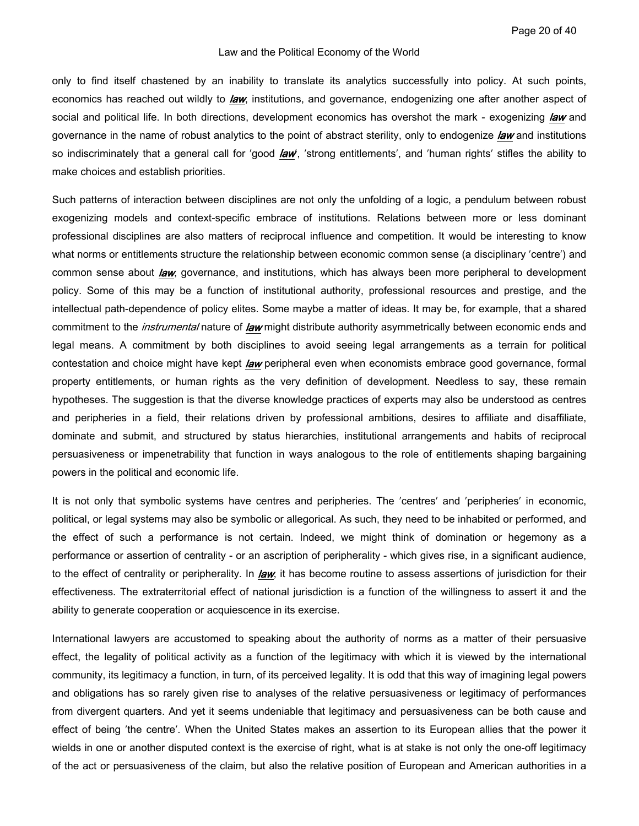only to find itself chastened by an inability to translate its analytics successfully into policy. At such points, economics has reached out wildly to *law*, institutions, and governance, endogenizing one after another aspect of social and political life. In both directions, development economics has overshot the mark - exogenizing *law* and governance in the name of robust analytics to the point of abstract sterility, only to endogenize *law* and institutions so indiscriminately that a general call for ′good *law*′, ′strong entitlements′, and ′human rights′ stifles the ability to make choices and establish priorities.

Such patterns of interaction between disciplines are not only the unfolding of a logic, a pendulum between robust exogenizing models and context-specific embrace of institutions. Relations between more or less dominant professional disciplines are also matters of reciprocal influence and competition. It would be interesting to know what norms or entitlements structure the relationship between economic common sense (a disciplinary ′centre′) and common sense about *law*, governance, and institutions, which has always been more peripheral to development policy. Some of this may be a function of institutional authority, professional resources and prestige, and the intellectual path-dependence of policy elites. Some maybe a matter of ideas. It may be, for example, that a shared commitment to the *instrumental* nature of *law* might distribute authority asymmetrically between economic ends and legal means. A commitment by both disciplines to avoid seeing legal arrangements as a terrain for political contestation and choice might have kept *law* peripheral even when economists embrace good governance, formal property entitlements, or human rights as the very definition of development. Needless to say, these remain hypotheses. The suggestion is that the diverse knowledge practices of experts may also be understood as centres and peripheries in a field, their relations driven by professional ambitions, desires to affiliate and disaffiliate, dominate and submit, and structured by status hierarchies, institutional arrangements and habits of reciprocal persuasiveness or impenetrability that function in ways analogous to the role of entitlements shaping bargaining powers in the political and economic life.

It is not only that symbolic systems have centres and peripheries. The ′centres′ and ′peripheries′ in economic, political, or legal systems may also be symbolic or allegorical. As such, they need to be inhabited or performed, and the effect of such a performance is not certain. Indeed, we might think of domination or hegemony as a performance or assertion of centrality - or an ascription of peripherality - which gives rise, in a significant audience, to the effect of centrality or peripherality. In *law*, it has become routine to assess assertions of jurisdiction for their effectiveness. The extraterritorial effect of national jurisdiction is a function of the willingness to assert it and the ability to generate cooperation or acquiescence in its exercise.

International lawyers are accustomed to speaking about the authority of norms as a matter of their persuasive effect, the legality of political activity as a function of the legitimacy with which it is viewed by the international community, its legitimacy a function, in turn, of its perceived legality. It is odd that this way of imagining legal powers and obligations has so rarely given rise to analyses of the relative persuasiveness or legitimacy of performances from divergent quarters. And yet it seems undeniable that legitimacy and persuasiveness can be both cause and effect of being ′the centre′. When the United States makes an assertion to its European allies that the power it wields in one or another disputed context is the exercise of right, what is at stake is not only the one-off legitimacy of the act or persuasiveness of the claim, but also the relative position of European and American authorities in a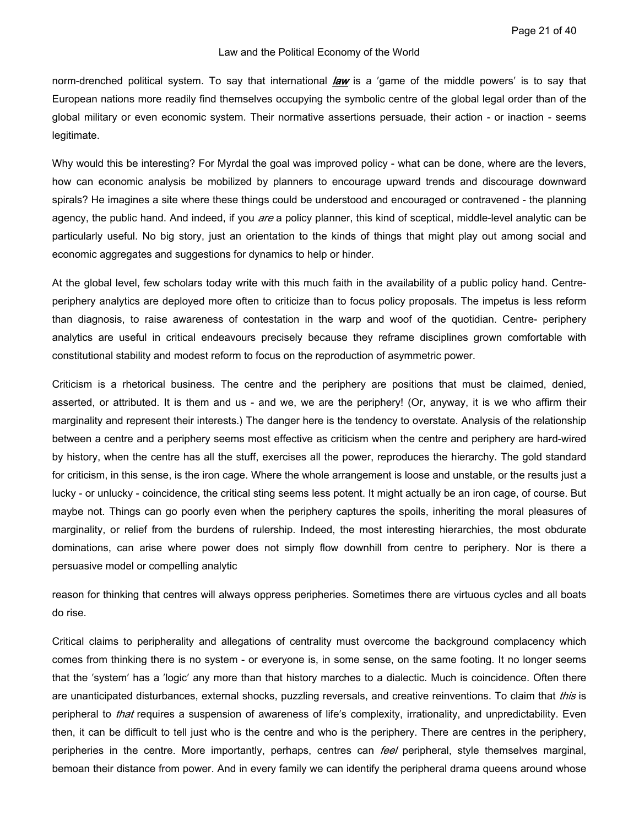norm-drenched political system. To say that international *law* is a ′game of the middle powers′ is to say that European nations more readily find themselves occupying the symbolic centre of the global legal order than of the global military or even economic system. Their normative assertions persuade, their action - or inaction - seems legitimate.

Why would this be interesting? For Myrdal the goal was improved policy - what can be done, where are the levers, how can economic analysis be mobilized by planners to encourage upward trends and discourage downward spirals? He imagines a site where these things could be understood and encouraged or contravened - the planning agency, the public hand. And indeed, if you *are* a policy planner, this kind of sceptical, middle-level analytic can be particularly useful. No big story, just an orientation to the kinds of things that might play out among social and economic aggregates and suggestions for dynamics to help or hinder.

At the global level, few scholars today write with this much faith in the availability of a public policy hand. Centreperiphery analytics are deployed more often to criticize than to focus policy proposals. The impetus is less reform than diagnosis, to raise awareness of contestation in the warp and woof of the quotidian. Centre- periphery analytics are useful in critical endeavours precisely because they reframe disciplines grown comfortable with constitutional stability and modest reform to focus on the reproduction of asymmetric power.

Criticism is a rhetorical business. The centre and the periphery are positions that must be claimed, denied, asserted, or attributed. It is them and us - and we, we are the periphery! (Or, anyway, it is we who affirm their marginality and represent their interests.) The danger here is the tendency to overstate. Analysis of the relationship between a centre and a periphery seems most effective as criticism when the centre and periphery are hard-wired by history, when the centre has all the stuff, exercises all the power, reproduces the hierarchy. The gold standard for criticism, in this sense, is the iron cage. Where the whole arrangement is loose and unstable, or the results just a lucky - or unlucky - coincidence, the critical sting seems less potent. It might actually be an iron cage, of course. But maybe not. Things can go poorly even when the periphery captures the spoils, inheriting the moral pleasures of marginality, or relief from the burdens of rulership. Indeed, the most interesting hierarchies, the most obdurate dominations, can arise where power does not simply flow downhill from centre to periphery. Nor is there a persuasive model or compelling analytic

reason for thinking that centres will always oppress peripheries. Sometimes there are virtuous cycles and all boats do rise.

Critical claims to peripherality and allegations of centrality must overcome the background complacency which comes from thinking there is no system - or everyone is, in some sense, on the same footing. It no longer seems that the ′system′ has a ′logic′ any more than that history marches to a dialectic. Much is coincidence. Often there are unanticipated disturbances, external shocks, puzzling reversals, and creative reinventions. To claim that *this* is peripheral to *that* requires a suspension of awareness of life′s complexity, irrationality, and unpredictability. Even then, it can be difficult to tell just who is the centre and who is the periphery. There are centres in the periphery, peripheries in the centre. More importantly, perhaps, centres can *feel* peripheral, style themselves marginal, bemoan their distance from power. And in every family we can identify the peripheral drama queens around whose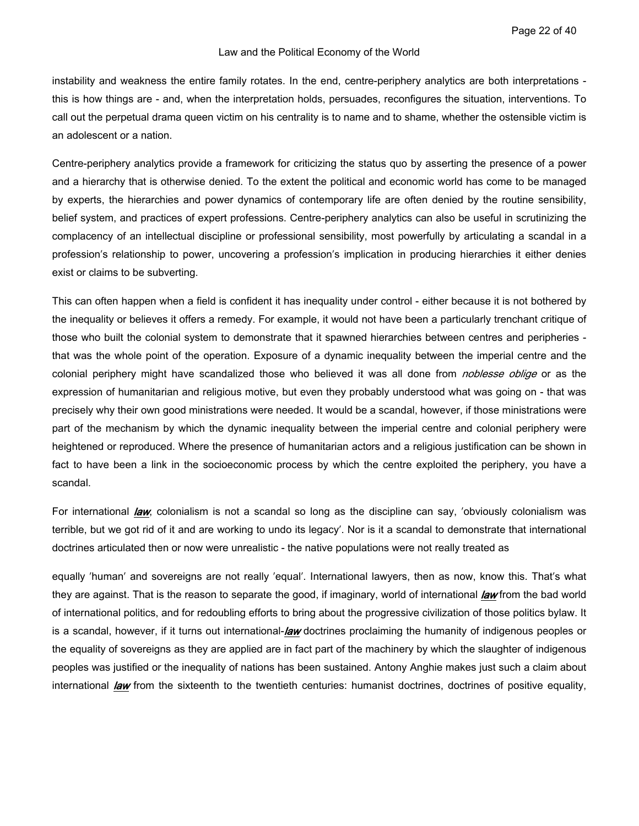instability and weakness the entire family rotates. In the end, centre-periphery analytics are both interpretations this is how things are - and, when the interpretation holds, persuades, reconfigures the situation, interventions. To call out the perpetual drama queen victim on his centrality is to name and to shame, whether the ostensible victim is an adolescent or a nation.

Centre-periphery analytics provide a framework for criticizing the status quo by asserting the presence of a power and a hierarchy that is otherwise denied. To the extent the political and economic world has come to be managed by experts, the hierarchies and power dynamics of contemporary life are often denied by the routine sensibility, belief system, and practices of expert professions. Centre-periphery analytics can also be useful in scrutinizing the complacency of an intellectual discipline or professional sensibility, most powerfully by articulating a scandal in a profession′s relationship to power, uncovering a profession′s implication in producing hierarchies it either denies exist or claims to be subverting.

This can often happen when a field is confident it has inequality under control - either because it is not bothered by the inequality or believes it offers a remedy. For example, it would not have been a particularly trenchant critique of those who built the colonial system to demonstrate that it spawned hierarchies between centres and peripheries that was the whole point of the operation. Exposure of a dynamic inequality between the imperial centre and the colonial periphery might have scandalized those who believed it was all done from *noblesse oblige* or as the expression of humanitarian and religious motive, but even they probably understood what was going on - that was precisely why their own good ministrations were needed. It would be a scandal, however, if those ministrations were part of the mechanism by which the dynamic inequality between the imperial centre and colonial periphery were heightened or reproduced. Where the presence of humanitarian actors and a religious justification can be shown in fact to have been a link in the socioeconomic process by which the centre exploited the periphery, you have a scandal.

For international *law*, colonialism is not a scandal so long as the discipline can say, ′obviously colonialism was terrible, but we got rid of it and are working to undo its legacy′. Nor is it a scandal to demonstrate that international doctrines articulated then or now were unrealistic - the native populations were not really treated as

equally ′human′ and sovereigns are not really ′equal′. International lawyers, then as now, know this. That′s what they are against. That is the reason to separate the good, if imaginary, world of international *law* from the bad world of international politics, and for redoubling efforts to bring about the progressive civilization of those politics bylaw. It is a scandal, however, if it turns out international-*law* doctrines proclaiming the humanity of indigenous peoples or the equality of sovereigns as they are applied are in fact part of the machinery by which the slaughter of indigenous peoples was justified or the inequality of nations has been sustained. Antony Anghie makes just such a claim about international *law* from the sixteenth to the twentieth centuries: humanist doctrines, doctrines of positive equality,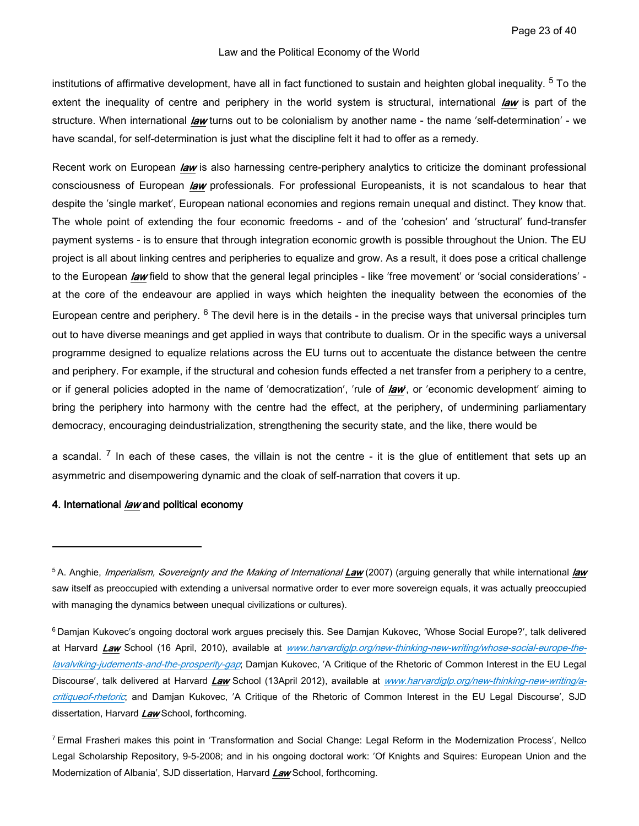institutions of affirmative development, have all in fact functioned to sustain and heighten global inequality. <sup>5</sup> To the extent the inequality of centre and periphery in the world system is structural, international *law* is part of the structure. When international *law* turns out to be colonialism by another name - the name ′self-determination′ - we have scandal, for self-determination is just what the discipline felt it had to offer as a remedy.

Recent work on European *law* is also harnessing centre-periphery analytics to criticize the dominant professional consciousness of European *law* professionals. For professional Europeanists, it is not scandalous to hear that despite the ′single market′, European national economies and regions remain unequal and distinct. They know that. The whole point of extending the four economic freedoms - and of the ′cohesion′ and ′structural′ fund-transfer payment systems - is to ensure that through integration economic growth is possible throughout the Union. The EU project is all about linking centres and peripheries to equalize and grow. As a result, it does pose a critical challenge to the European *law* field to show that the general legal principles - like 'free movement' or 'social considerations' at the core of the endeavour are applied in ways which heighten the inequality between the economies of the European centre and periphery. <sup>6</sup> The devil here is in the details - in the precise ways that universal principles turn out to have diverse meanings and get applied in ways that contribute to dualism. Or in the specific ways a universal programme designed to equalize relations across the EU turns out to accentuate the distance between the centre and periphery. For example, if the structural and cohesion funds effected a net transfer from a periphery to a centre, or if general policies adopted in the name of ′democratization′, ′rule of *law*′, or ′economic development′ aiming to bring the periphery into harmony with the centre had the effect, at the periphery, of undermining parliamentary democracy, encouraging deindustrialization, strengthening the security state, and the like, there would be

a scandal.  $^7$  In each of these cases, the villain is not the centre - it is the glue of entitlement that sets up an asymmetric and disempowering dynamic and the cloak of self-narration that covers it up.

### **4. International** *law* **and political economy**

<sup>5</sup>A. Anghie, *Imperialism, Sovereignty and the Making of International Law* (2007) (arguing generally that while international *law* saw itself as preoccupied with extending a universal normative order to ever more sovereign equals, it was actually preoccupied with managing the dynamics between unequal civilizations or cultures).

<sup>6</sup>Damjan Kukovec′s ongoing doctoral work argues precisely this. See Damjan Kukovec, ′Whose Social Europe?′, talk delivered at Harvard *Law* School (16 April, 2010), available at *[www.harvardiglp.org/new-thinking-new-writing/whose-social-europe-the](http://www.harvardiglp.org/new-thinking-new-writing/whose-social-europe-the-lavalviking-judements-and-the-prosperity-gap)[lavalviking-judements-and-the-prosperity-gap](http://www.harvardiglp.org/new-thinking-new-writing/whose-social-europe-the-lavalviking-judements-and-the-prosperity-gap)*; Damjan Kukovec, ′A Critique of the Rhetoric of Common Interest in the EU Legal Discourse′, talk delivered at Harvard *Law* School (13April 2012), available at *[www.harvardiglp.org/new-thinking-new-writing/a](http://www.harvardiglp.org/new-thinking-new-writing/a-critiqueof-rhetoric)[critiqueof-rhetoric](http://www.harvardiglp.org/new-thinking-new-writing/a-critiqueof-rhetoric)*; and Damjan Kukovec, ′A Critique of the Rhetoric of Common Interest in the EU Legal Discourse′, SJD dissertation, Harvard *Law* School, forthcoming.

<sup>7</sup>Ermal Frasheri makes this point in ′Transformation and Social Change: Legal Reform in the Modernization Process′, Nellco Legal Scholarship Repository, 9-5-2008; and in his ongoing doctoral work: ′Of Knights and Squires: European Union and the Modernization of Albania′, SJD dissertation, Harvard *Law* School, forthcoming.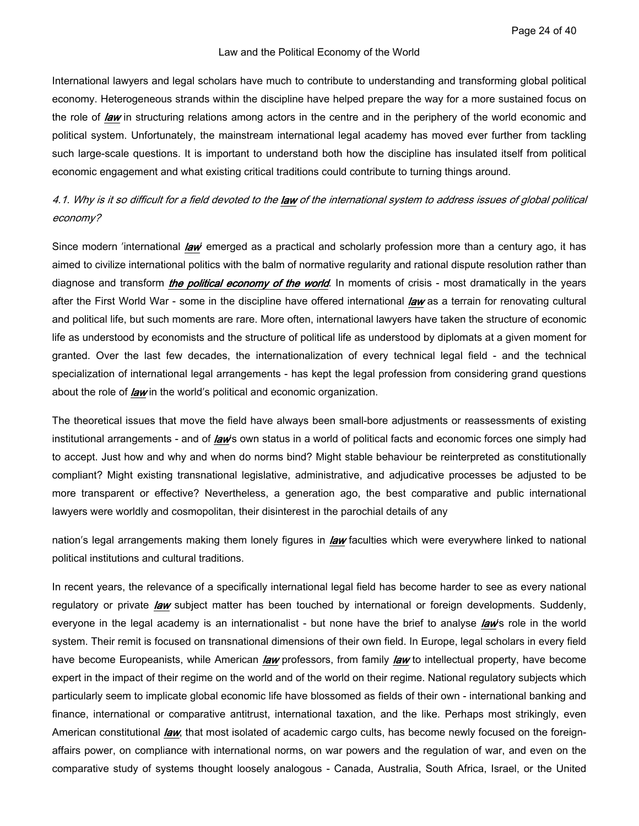International lawyers and legal scholars have much to contribute to understanding and transforming global political economy. Heterogeneous strands within the discipline have helped prepare the way for a more sustained focus on the role of *law* in structuring relations among actors in the centre and in the periphery of the world economic and political system. Unfortunately, the mainstream international legal academy has moved ever further from tackling such large-scale questions. It is important to understand both how the discipline has insulated itself from political economic engagement and what existing critical traditions could contribute to turning things around.

## *4.1. Why is it so difficult for a field devoted to the law of the international system to address issues of global political economy?*

Since modern 'international *law*' emerged as a practical and scholarly profession more than a century ago, it has aimed to civilize international politics with the balm of normative regularity and rational dispute resolution rather than diagnose and transform *the political economy of the world*. In moments of crisis - most dramatically in the years after the First World War - some in the discipline have offered international *law* as a terrain for renovating cultural and political life, but such moments are rare. More often, international lawyers have taken the structure of economic life as understood by economists and the structure of political life as understood by diplomats at a given moment for granted. Over the last few decades, the internationalization of every technical legal field - and the technical specialization of international legal arrangements - has kept the legal profession from considering grand questions about the role of *law* in the world′s political and economic organization.

The theoretical issues that move the field have always been small-bore adjustments or reassessments of existing institutional arrangements - and of *law*′s own status in a world of political facts and economic forces one simply had to accept. Just how and why and when do norms bind? Might stable behaviour be reinterpreted as constitutionally compliant? Might existing transnational legislative, administrative, and adjudicative processes be adjusted to be more transparent or effective? Nevertheless, a generation ago, the best comparative and public international lawyers were worldly and cosmopolitan, their disinterest in the parochial details of any

nation′s legal arrangements making them lonely figures in *law* faculties which were everywhere linked to national political institutions and cultural traditions.

In recent years, the relevance of a specifically international legal field has become harder to see as every national regulatory or private *law* subject matter has been touched by international or foreign developments. Suddenly, everyone in the legal academy is an internationalist - but none have the brief to analyse *law*′s role in the world system. Their remit is focused on transnational dimensions of their own field. In Europe, legal scholars in every field have become Europeanists, while American *law* professors, from family *law* to intellectual property, have become expert in the impact of their regime on the world and of the world on their regime. National regulatory subjects which particularly seem to implicate global economic life have blossomed as fields of their own - international banking and finance, international or comparative antitrust, international taxation, and the like. Perhaps most strikingly, even American constitutional *law*, that most isolated of academic cargo cults, has become newly focused on the foreignaffairs power, on compliance with international norms, on war powers and the regulation of war, and even on the comparative study of systems thought loosely analogous - Canada, Australia, South Africa, Israel, or the United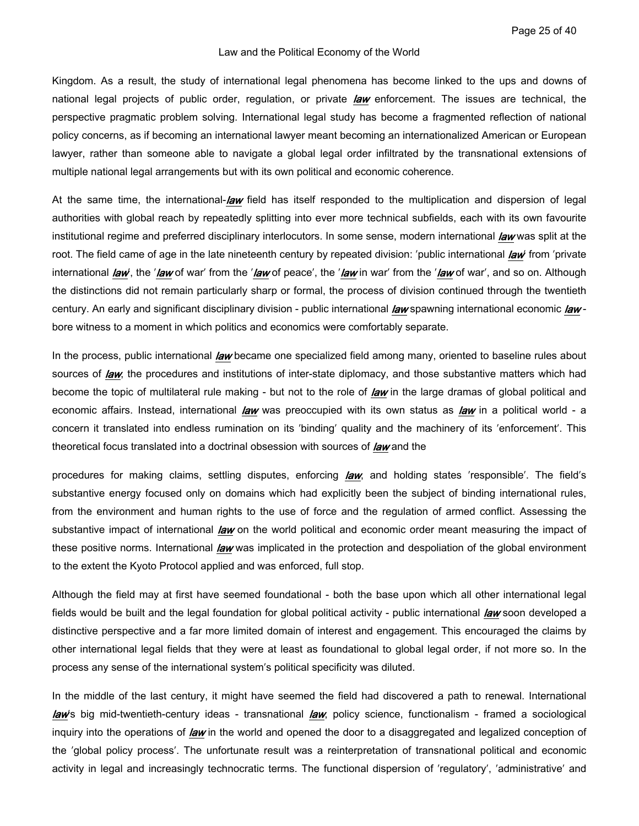Kingdom. As a result, the study of international legal phenomena has become linked to the ups and downs of national legal projects of public order, regulation, or private *law* enforcement. The issues are technical, the perspective pragmatic problem solving. International legal study has become a fragmented reflection of national policy concerns, as if becoming an international lawyer meant becoming an internationalized American or European lawyer, rather than someone able to navigate a global legal order infiltrated by the transnational extensions of multiple national legal arrangements but with its own political and economic coherence.

At the same time, the international-*law* field has itself responded to the multiplication and dispersion of legal authorities with global reach by repeatedly splitting into ever more technical subfields, each with its own favourite institutional regime and preferred disciplinary interlocutors. In some sense, modern international *law* was split at the root. The field came of age in the late nineteenth century by repeated division: ′public international *law*′ from ′private international *law*′, the ′*law* of war′ from the ′*law* of peace′, the ′*law* in war′ from the ′*law* of war′, and so on. Although the distinctions did not remain particularly sharp or formal, the process of division continued through the twentieth century. An early and significant disciplinary division - public international *law* spawning international economic *law* bore witness to a moment in which politics and economics were comfortably separate.

In the process, public international *law* became one specialized field among many, oriented to baseline rules about sources of *law*, the procedures and institutions of inter-state diplomacy, and those substantive matters which had become the topic of multilateral rule making - but not to the role of *law* in the large dramas of global political and economic affairs. Instead, international *law* was preoccupied with its own status as *law* in a political world - a concern it translated into endless rumination on its ′binding′ quality and the machinery of its ′enforcement′. This theoretical focus translated into a doctrinal obsession with sources of *law* and the

procedures for making claims, settling disputes, enforcing *law*, and holding states ′responsible′. The field′s substantive energy focused only on domains which had explicitly been the subject of binding international rules, from the environment and human rights to the use of force and the regulation of armed conflict. Assessing the substantive impact of international *law* on the world political and economic order meant measuring the impact of these positive norms. International *law* was implicated in the protection and despoliation of the global environment to the extent the Kyoto Protocol applied and was enforced, full stop.

Although the field may at first have seemed foundational - both the base upon which all other international legal fields would be built and the legal foundation for global political activity - public international *law* soon developed a distinctive perspective and a far more limited domain of interest and engagement. This encouraged the claims by other international legal fields that they were at least as foundational to global legal order, if not more so. In the process any sense of the international system′s political specificity was diluted.

In the middle of the last century, it might have seemed the field had discovered a path to renewal. International *law*′s big mid-twentieth-century ideas - transnational *law*, policy science, functionalism - framed a sociological inquiry into the operations of *law* in the world and opened the door to a disaggregated and legalized conception of the ′global policy process′. The unfortunate result was a reinterpretation of transnational political and economic activity in legal and increasingly technocratic terms. The functional dispersion of ′regulatory′, ′administrative′ and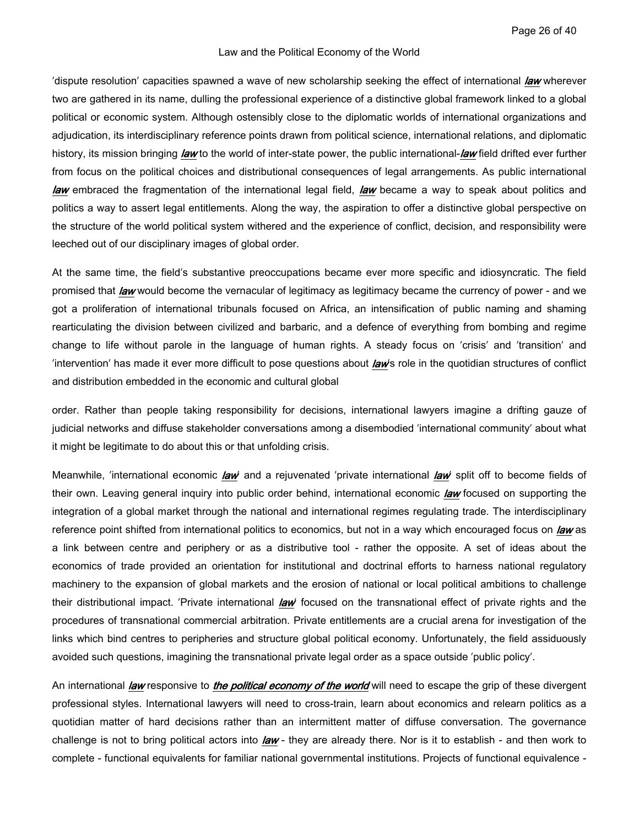′dispute resolution′ capacities spawned a wave of new scholarship seeking the effect of international *law* wherever two are gathered in its name, dulling the professional experience of a distinctive global framework linked to a global political or economic system. Although ostensibly close to the diplomatic worlds of international organizations and adjudication, its interdisciplinary reference points drawn from political science, international relations, and diplomatic history, its mission bringing *law* to the world of inter-state power, the public international-*law* field drifted ever further from focus on the political choices and distributional consequences of legal arrangements. As public international *law* embraced the fragmentation of the international legal field, *law* became a way to speak about politics and politics a way to assert legal entitlements. Along the way, the aspiration to offer a distinctive global perspective on the structure of the world political system withered and the experience of conflict, decision, and responsibility were leeched out of our disciplinary images of global order.

At the same time, the field′s substantive preoccupations became ever more specific and idiosyncratic. The field promised that *law* would become the vernacular of legitimacy as legitimacy became the currency of power - and we got a proliferation of international tribunals focused on Africa, an intensification of public naming and shaming rearticulating the division between civilized and barbaric, and a defence of everything from bombing and regime change to life without parole in the language of human rights. A steady focus on ′crisis′ and ′transition′ and ′intervention′ has made it ever more difficult to pose questions about *law*′s role in the quotidian structures of conflict and distribution embedded in the economic and cultural global

order. Rather than people taking responsibility for decisions, international lawyers imagine a drifting gauze of judicial networks and diffuse stakeholder conversations among a disembodied ′international community′ about what it might be legitimate to do about this or that unfolding crisis.

Meanwhile, 'international economic *law*' and a rejuvenated 'private international *law*' split off to become fields of their own. Leaving general inquiry into public order behind, international economic *law* focused on supporting the integration of a global market through the national and international regimes regulating trade. The interdisciplinary reference point shifted from international politics to economics, but not in a way which encouraged focus on *law* as a link between centre and periphery or as a distributive tool - rather the opposite. A set of ideas about the economics of trade provided an orientation for institutional and doctrinal efforts to harness national regulatory machinery to the expansion of global markets and the erosion of national or local political ambitions to challenge their distributional impact. ′Private international *law*′ focused on the transnational effect of private rights and the procedures of transnational commercial arbitration. Private entitlements are a crucial arena for investigation of the links which bind centres to peripheries and structure global political economy. Unfortunately, the field assiduously avoided such questions, imagining the transnational private legal order as a space outside ′public policy′.

An international *law* responsive to *the political economy of the world* will need to escape the grip of these divergent professional styles. International lawyers will need to cross-train, learn about economics and relearn politics as a quotidian matter of hard decisions rather than an intermittent matter of diffuse conversation. The governance challenge is not to bring political actors into *law* - they are already there. Nor is it to establish - and then work to complete - functional equivalents for familiar national governmental institutions. Projects of functional equivalence -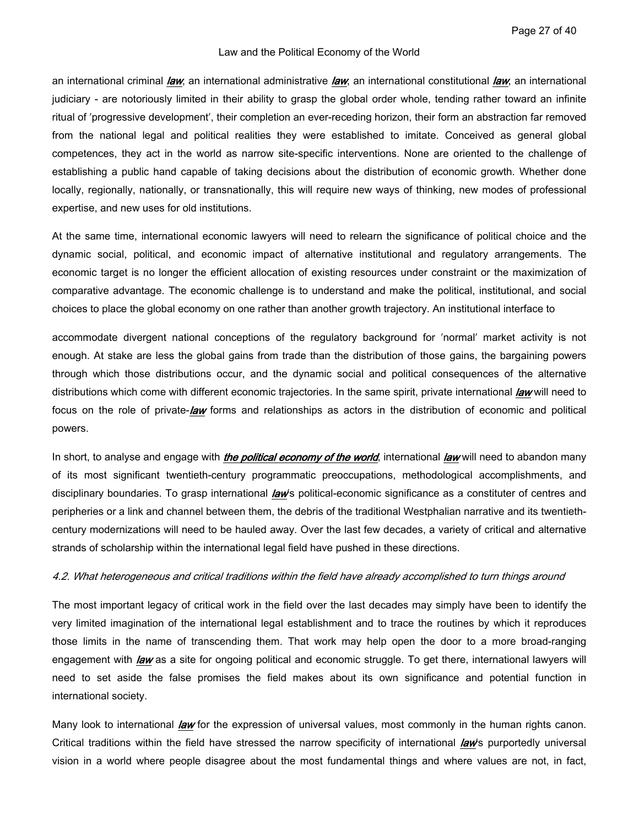an international criminal *law*, an international administrative *law*, an international constitutional *law*, an international judiciary - are notoriously limited in their ability to grasp the global order whole, tending rather toward an infinite ritual of ′progressive development′, their completion an ever-receding horizon, their form an abstraction far removed from the national legal and political realities they were established to imitate. Conceived as general global competences, they act in the world as narrow site-specific interventions. None are oriented to the challenge of establishing a public hand capable of taking decisions about the distribution of economic growth. Whether done locally, regionally, nationally, or transnationally, this will require new ways of thinking, new modes of professional expertise, and new uses for old institutions.

At the same time, international economic lawyers will need to relearn the significance of political choice and the dynamic social, political, and economic impact of alternative institutional and regulatory arrangements. The economic target is no longer the efficient allocation of existing resources under constraint or the maximization of comparative advantage. The economic challenge is to understand and make the political, institutional, and social choices to place the global economy on one rather than another growth trajectory. An institutional interface to

accommodate divergent national conceptions of the regulatory background for ′normal′ market activity is not enough. At stake are less the global gains from trade than the distribution of those gains, the bargaining powers through which those distributions occur, and the dynamic social and political consequences of the alternative distributions which come with different economic trajectories. In the same spirit, private international *law* will need to focus on the role of private-*law* forms and relationships as actors in the distribution of economic and political powers.

In short, to analyse and engage with *the political economy of the world*, international *law* will need to abandon many of its most significant twentieth-century programmatic preoccupations, methodological accomplishments, and disciplinary boundaries. To grasp international *law*′s political-economic significance as a constituter of centres and peripheries or a link and channel between them, the debris of the traditional Westphalian narrative and its twentiethcentury modernizations will need to be hauled away. Over the last few decades, a variety of critical and alternative strands of scholarship within the international legal field have pushed in these directions.

#### *4.2. What heterogeneous and critical traditions within the field have already accomplished to turn things around*

The most important legacy of critical work in the field over the last decades may simply have been to identify the very limited imagination of the international legal establishment and to trace the routines by which it reproduces those limits in the name of transcending them. That work may help open the door to a more broad-ranging engagement with *law* as a site for ongoing political and economic struggle. To get there, international lawyers will need to set aside the false promises the field makes about its own significance and potential function in international society.

Many look to international *law* for the expression of universal values, most commonly in the human rights canon. Critical traditions within the field have stressed the narrow specificity of international *law*′s purportedly universal vision in a world where people disagree about the most fundamental things and where values are not, in fact,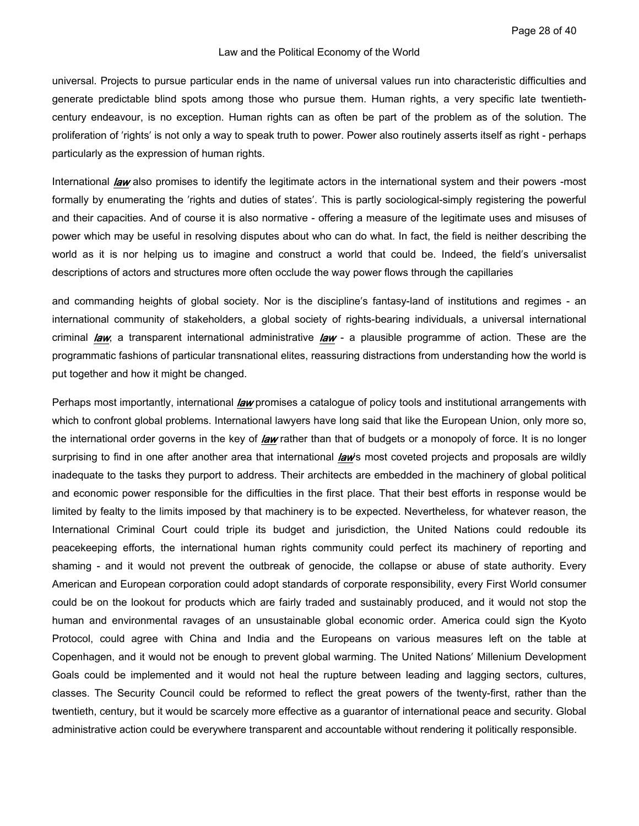universal. Projects to pursue particular ends in the name of universal values run into characteristic difficulties and generate predictable blind spots among those who pursue them. Human rights, a very specific late twentiethcentury endeavour, is no exception. Human rights can as often be part of the problem as of the solution. The proliferation of ′rights′ is not only a way to speak truth to power. Power also routinely asserts itself as right - perhaps particularly as the expression of human rights.

International *law* also promises to identify the legitimate actors in the international system and their powers -most formally by enumerating the ′rights and duties of states′. This is partly sociological-simply registering the powerful and their capacities. And of course it is also normative - offering a measure of the legitimate uses and misuses of power which may be useful in resolving disputes about who can do what. In fact, the field is neither describing the world as it is nor helping us to imagine and construct a world that could be. Indeed, the field′s universalist descriptions of actors and structures more often occlude the way power flows through the capillaries

and commanding heights of global society. Nor is the discipline′s fantasy-land of institutions and regimes - an international community of stakeholders, a global society of rights-bearing individuals, a universal international criminal *law*, a transparent international administrative *law* - a plausible programme of action. These are the programmatic fashions of particular transnational elites, reassuring distractions from understanding how the world is put together and how it might be changed.

Perhaps most importantly, international *law* promises a catalogue of policy tools and institutional arrangements with which to confront global problems. International lawyers have long said that like the European Union, only more so, the international order governs in the key of *law* rather than that of budgets or a monopoly of force. It is no longer surprising to find in one after another area that international **/aw**<sup>'</sup>s most coveted projects and proposals are wildly inadequate to the tasks they purport to address. Their architects are embedded in the machinery of global political and economic power responsible for the difficulties in the first place. That their best efforts in response would be limited by fealty to the limits imposed by that machinery is to be expected. Nevertheless, for whatever reason, the International Criminal Court could triple its budget and jurisdiction, the United Nations could redouble its peacekeeping efforts, the international human rights community could perfect its machinery of reporting and shaming - and it would not prevent the outbreak of genocide, the collapse or abuse of state authority. Every American and European corporation could adopt standards of corporate responsibility, every First World consumer could be on the lookout for products which are fairly traded and sustainably produced, and it would not stop the human and environmental ravages of an unsustainable global economic order. America could sign the Kyoto Protocol, could agree with China and India and the Europeans on various measures left on the table at Copenhagen, and it would not be enough to prevent global warming. The United Nations′ Millenium Development Goals could be implemented and it would not heal the rupture between leading and lagging sectors, cultures, classes. The Security Council could be reformed to reflect the great powers of the twenty-first, rather than the twentieth, century, but it would be scarcely more effective as a guarantor of international peace and security. Global administrative action could be everywhere transparent and accountable without rendering it politically responsible.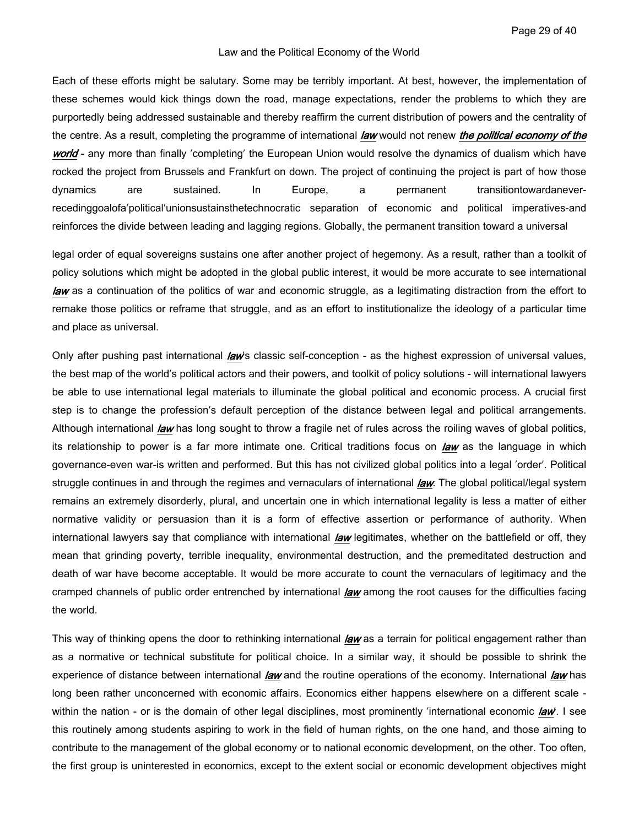Each of these efforts might be salutary. Some may be terribly important. At best, however, the implementation of these schemes would kick things down the road, manage expectations, render the problems to which they are purportedly being addressed sustainable and thereby reaffirm the current distribution of powers and the centrality of the centre. As a result, completing the programme of international *law* would not renew *the political economy of the world* - any more than finally ′completing′ the European Union would resolve the dynamics of dualism which have rocked the project from Brussels and Frankfurt on down. The project of continuing the project is part of how those dynamics are sustained. In Europe, a permanent transitiontowardaneverrecedinggoalofa′political′unionsustainsthetechnocratic separation of economic and political imperatives-and reinforces the divide between leading and lagging regions. Globally, the permanent transition toward a universal

legal order of equal sovereigns sustains one after another project of hegemony. As a result, rather than a toolkit of policy solutions which might be adopted in the global public interest, it would be more accurate to see international *law* as a continuation of the politics of war and economic struggle, as a legitimating distraction from the effort to remake those politics or reframe that struggle, and as an effort to institutionalize the ideology of a particular time and place as universal.

Only after pushing past international *law*′s classic self-conception - as the highest expression of universal values, the best map of the world′s political actors and their powers, and toolkit of policy solutions - will international lawyers be able to use international legal materials to illuminate the global political and economic process. A crucial first step is to change the profession′s default perception of the distance between legal and political arrangements. Although international *law* has long sought to throw a fragile net of rules across the roiling waves of global politics, its relationship to power is a far more intimate one. Critical traditions focus on *law* as the language in which governance-even war-is written and performed. But this has not civilized global politics into a legal ′order′. Political struggle continues in and through the regimes and vernaculars of international *law*. The global political/legal system remains an extremely disorderly, plural, and uncertain one in which international legality is less a matter of either normative validity or persuasion than it is a form of effective assertion or performance of authority. When international lawyers say that compliance with international *law* legitimates, whether on the battlefield or off, they mean that grinding poverty, terrible inequality, environmental destruction, and the premeditated destruction and death of war have become acceptable. It would be more accurate to count the vernaculars of legitimacy and the cramped channels of public order entrenched by international *law* among the root causes for the difficulties facing the world.

This way of thinking opens the door to rethinking international *law* as a terrain for political engagement rather than as a normative or technical substitute for political choice. In a similar way, it should be possible to shrink the experience of distance between international *law* and the routine operations of the economy. International *law* has long been rather unconcerned with economic affairs. Economics either happens elsewhere on a different scale within the nation - or is the domain of other legal disciplines, most prominently 'international economic *law*'. I see this routinely among students aspiring to work in the field of human rights, on the one hand, and those aiming to contribute to the management of the global economy or to national economic development, on the other. Too often, the first group is uninterested in economics, except to the extent social or economic development objectives might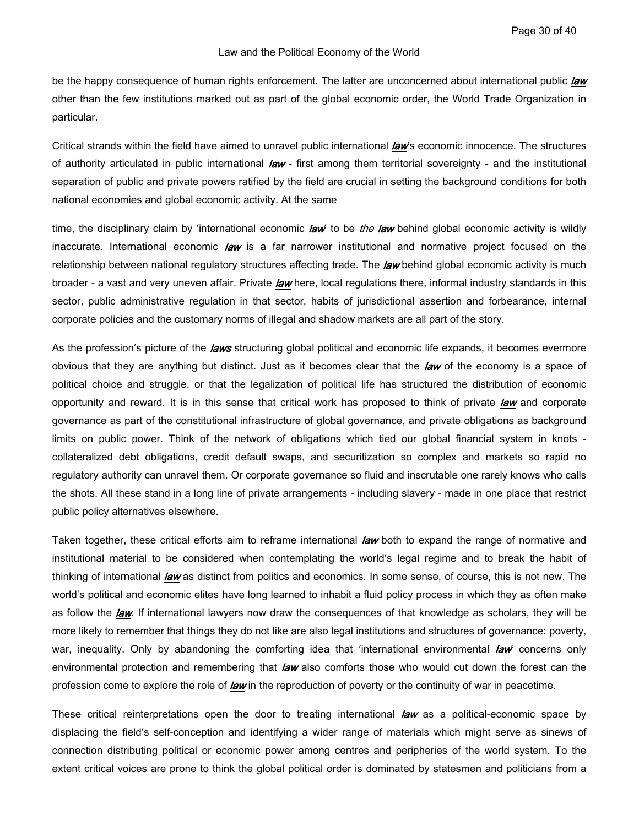be the happy consequence of human rights enforcement. The latter are unconcerned about international public *law* other than the few institutions marked out as part of the global economic order, the World Trade Organization in particular.

Critical strands within the field have aimed to unravel public international *law*′s economic innocence. The structures of authority articulated in public international *law* - first among them territorial sovereignty - and the institutional separation of public and private powers ratified by the field are crucial in setting the background conditions for both national economies and global economic activity. At the same

time, the disciplinary claim by ′international economic *law*′ to be *the law* behind global economic activity is wildly inaccurate. International economic *law* is a far narrower institutional and normative project focused on the relationship between national regulatory structures affecting trade. The *law* behind global economic activity is much broader - a vast and very uneven affair. Private *law* here, local regulations there, informal industry standards in this sector, public administrative regulation in that sector, habits of jurisdictional assertion and forbearance, internal corporate policies and the customary norms of illegal and shadow markets are all part of the story.

As the profession′s picture of the *laws* structuring global political and economic life expands, it becomes evermore obvious that they are anything but distinct. Just as it becomes clear that the *law* of the economy is a space of political choice and struggle, or that the legalization of political life has structured the distribution of economic opportunity and reward. It is in this sense that critical work has proposed to think of private *law* and corporate governance as part of the constitutional infrastructure of global governance, and private obligations as background limits on public power. Think of the network of obligations which tied our global financial system in knots collateralized debt obligations, credit default swaps, and securitization so complex and markets so rapid no regulatory authority can unravel them. Or corporate governance so fluid and inscrutable one rarely knows who calls the shots. All these stand in a long line of private arrangements - including slavery - made in one place that restrict public policy alternatives elsewhere.

Taken together, these critical efforts aim to reframe international *law* both to expand the range of normative and institutional material to be considered when contemplating the world′s legal regime and to break the habit of thinking of international *law* as distinct from politics and economics. In some sense, of course, this is not new. The world′s political and economic elites have long learned to inhabit a fluid policy process in which they as often make as follow the *law*. If international lawyers now draw the consequences of that knowledge as scholars, they will be more likely to remember that things they do not like are also legal institutions and structures of governance: poverty, war, inequality. Only by abandoning the comforting idea that ′international environmental *law*′ concerns only environmental protection and remembering that *law* also comforts those who would cut down the forest can the profession come to explore the role of *law* in the reproduction of poverty or the continuity of war in peacetime.

These critical reinterpretations open the door to treating international *law* as a political-economic space by displacing the field′s self-conception and identifying a wider range of materials which might serve as sinews of connection distributing political or economic power among centres and peripheries of the world system. To the extent critical voices are prone to think the global political order is dominated by statesmen and politicians from a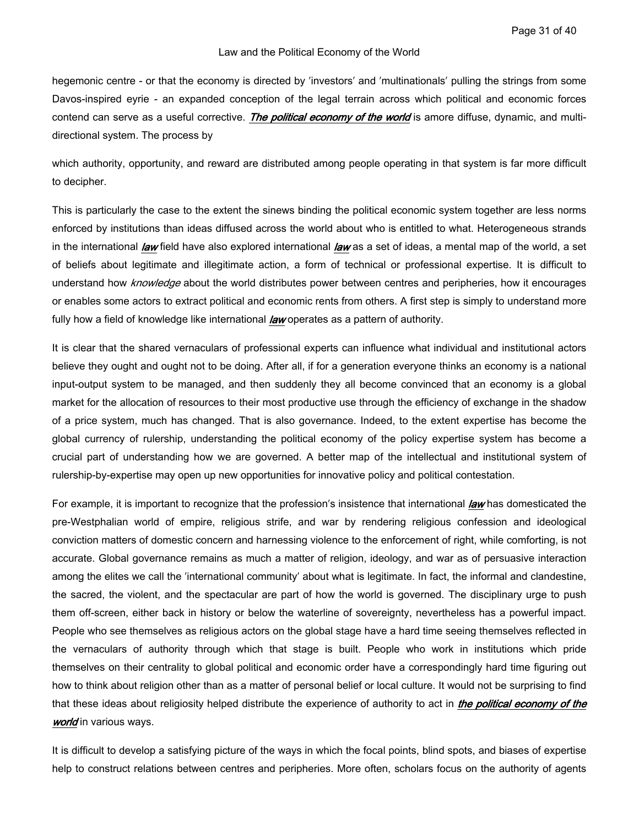hegemonic centre - or that the economy is directed by 'investors' and 'multinationals' pulling the strings from some Davos-inspired eyrie - an expanded conception of the legal terrain across which political and economic forces contend can serve as a useful corrective. *The political economy of the world* is amore diffuse, dynamic, and multidirectional system. The process by

which authority, opportunity, and reward are distributed among people operating in that system is far more difficult to decipher.

This is particularly the case to the extent the sinews binding the political economic system together are less norms enforced by institutions than ideas diffused across the world about who is entitled to what. Heterogeneous strands in the international *law* field have also explored international *law* as a set of ideas, a mental map of the world, a set of beliefs about legitimate and illegitimate action, a form of technical or professional expertise. It is difficult to understand how *knowledge* about the world distributes power between centres and peripheries, how it encourages or enables some actors to extract political and economic rents from others. A first step is simply to understand more fully how a field of knowledge like international *law* operates as a pattern of authority.

It is clear that the shared vernaculars of professional experts can influence what individual and institutional actors believe they ought and ought not to be doing. After all, if for a generation everyone thinks an economy is a national input-output system to be managed, and then suddenly they all become convinced that an economy is a global market for the allocation of resources to their most productive use through the efficiency of exchange in the shadow of a price system, much has changed. That is also governance. Indeed, to the extent expertise has become the global currency of rulership, understanding the political economy of the policy expertise system has become a crucial part of understanding how we are governed. A better map of the intellectual and institutional system of rulership-by-expertise may open up new opportunities for innovative policy and political contestation.

For example, it is important to recognize that the profession′s insistence that international *law* has domesticated the pre-Westphalian world of empire, religious strife, and war by rendering religious confession and ideological conviction matters of domestic concern and harnessing violence to the enforcement of right, while comforting, is not accurate. Global governance remains as much a matter of religion, ideology, and war as of persuasive interaction among the elites we call the ′international community′ about what is legitimate. In fact, the informal and clandestine, the sacred, the violent, and the spectacular are part of how the world is governed. The disciplinary urge to push them off-screen, either back in history or below the waterline of sovereignty, nevertheless has a powerful impact. People who see themselves as religious actors on the global stage have a hard time seeing themselves reflected in the vernaculars of authority through which that stage is built. People who work in institutions which pride themselves on their centrality to global political and economic order have a correspondingly hard time figuring out how to think about religion other than as a matter of personal belief or local culture. It would not be surprising to find that these ideas about religiosity helped distribute the experience of authority to act in *the political economy of the world* in various ways.

It is difficult to develop a satisfying picture of the ways in which the focal points, blind spots, and biases of expertise help to construct relations between centres and peripheries. More often, scholars focus on the authority of agents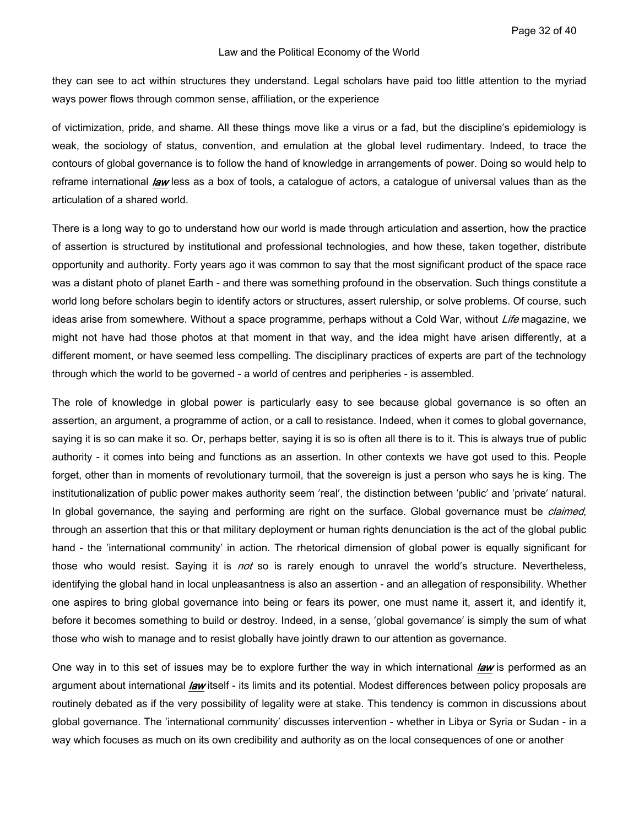they can see to act within structures they understand. Legal scholars have paid too little attention to the myriad ways power flows through common sense, affiliation, or the experience

of victimization, pride, and shame. All these things move like a virus or a fad, but the discipline′s epidemiology is weak, the sociology of status, convention, and emulation at the global level rudimentary. Indeed, to trace the contours of global governance is to follow the hand of knowledge in arrangements of power. Doing so would help to reframe international *law* less as a box of tools, a catalogue of actors, a catalogue of universal values than as the articulation of a shared world.

There is a long way to go to understand how our world is made through articulation and assertion, how the practice of assertion is structured by institutional and professional technologies, and how these, taken together, distribute opportunity and authority. Forty years ago it was common to say that the most significant product of the space race was a distant photo of planet Earth - and there was something profound in the observation. Such things constitute a world long before scholars begin to identify actors or structures, assert rulership, or solve problems. Of course, such ideas arise from somewhere. Without a space programme, perhaps without a Cold War, without *Life* magazine, we might not have had those photos at that moment in that way, and the idea might have arisen differently, at a different moment, or have seemed less compelling. The disciplinary practices of experts are part of the technology through which the world to be governed - a world of centres and peripheries - is assembled.

The role of knowledge in global power is particularly easy to see because global governance is so often an assertion, an argument, a programme of action, or a call to resistance. Indeed, when it comes to global governance, saying it is so can make it so. Or, perhaps better, saying it is so is often all there is to it. This is always true of public authority - it comes into being and functions as an assertion. In other contexts we have got used to this. People forget, other than in moments of revolutionary turmoil, that the sovereign is just a person who says he is king. The institutionalization of public power makes authority seem ′real′, the distinction between ′public′ and ′private′ natural. In global governance, the saying and performing are right on the surface. Global governance must be *claimed*, through an assertion that this or that military deployment or human rights denunciation is the act of the global public hand - the 'international community' in action. The rhetorical dimension of global power is equally significant for those who would resist. Saying it is *not* so is rarely enough to unravel the world′s structure. Nevertheless, identifying the global hand in local unpleasantness is also an assertion - and an allegation of responsibility. Whether one aspires to bring global governance into being or fears its power, one must name it, assert it, and identify it, before it becomes something to build or destroy. Indeed, in a sense, ′global governance′ is simply the sum of what those who wish to manage and to resist globally have jointly drawn to our attention as governance.

One way in to this set of issues may be to explore further the way in which international *law* is performed as an argument about international *law* itself - its limits and its potential. Modest differences between policy proposals are routinely debated as if the very possibility of legality were at stake. This tendency is common in discussions about global governance. The ′international community′ discusses intervention - whether in Libya or Syria or Sudan - in a way which focuses as much on its own credibility and authority as on the local consequences of one or another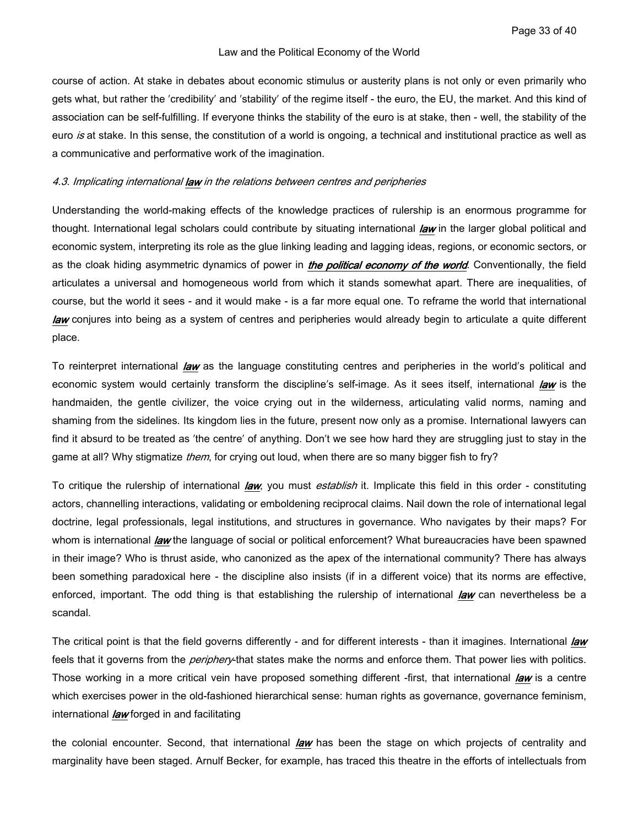course of action. At stake in debates about economic stimulus or austerity plans is not only or even primarily who gets what, but rather the ′credibility′ and ′stability′ of the regime itself - the euro, the EU, the market. And this kind of association can be self-fulfilling. If everyone thinks the stability of the euro is at stake, then - well, the stability of the euro *is* at stake. In this sense, the constitution of a world is ongoing, a technical and institutional practice as well as a communicative and performative work of the imagination.

#### *4.3. Implicating international law in the relations between centres and peripheries*

Understanding the world-making effects of the knowledge practices of rulership is an enormous programme for thought. International legal scholars could contribute by situating international *law* in the larger global political and economic system, interpreting its role as the glue linking leading and lagging ideas, regions, or economic sectors, or as the cloak hiding asymmetric dynamics of power in *the political economy of the world*. Conventionally, the field articulates a universal and homogeneous world from which it stands somewhat apart. There are inequalities, of course, but the world it sees - and it would make - is a far more equal one. To reframe the world that international *law* conjures into being as a system of centres and peripheries would already begin to articulate a quite different place.

To reinterpret international *law* as the language constituting centres and peripheries in the world′s political and economic system would certainly transform the discipline′s self-image. As it sees itself, international *law* is the handmaiden, the gentle civilizer, the voice crying out in the wilderness, articulating valid norms, naming and shaming from the sidelines. Its kingdom lies in the future, present now only as a promise. International lawyers can find it absurd to be treated as ′the centre′ of anything. Don′t we see how hard they are struggling just to stay in the game at all? Why stigmatize *them*, for crying out loud, when there are so many bigger fish to fry?

To critique the rulership of international *law*, you must *establish* it. Implicate this field in this order - constituting actors, channelling interactions, validating or emboldening reciprocal claims. Nail down the role of international legal doctrine, legal professionals, legal institutions, and structures in governance. Who navigates by their maps? For whom is international *law* the language of social or political enforcement? What bureaucracies have been spawned in their image? Who is thrust aside, who canonized as the apex of the international community? There has always been something paradoxical here - the discipline also insists (if in a different voice) that its norms are effective, enforced, important. The odd thing is that establishing the rulership of international *law* can nevertheless be a scandal.

The critical point is that the field governs differently - and for different interests - than it imagines. International *law* feels that it governs from the *periphery*-that states make the norms and enforce them. That power lies with politics. Those working in a more critical vein have proposed something different -first, that international *law* is a centre which exercises power in the old-fashioned hierarchical sense: human rights as governance, governance feminism, international *law* forged in and facilitating

the colonial encounter. Second, that international *law* has been the stage on which projects of centrality and marginality have been staged. Arnulf Becker, for example, has traced this theatre in the efforts of intellectuals from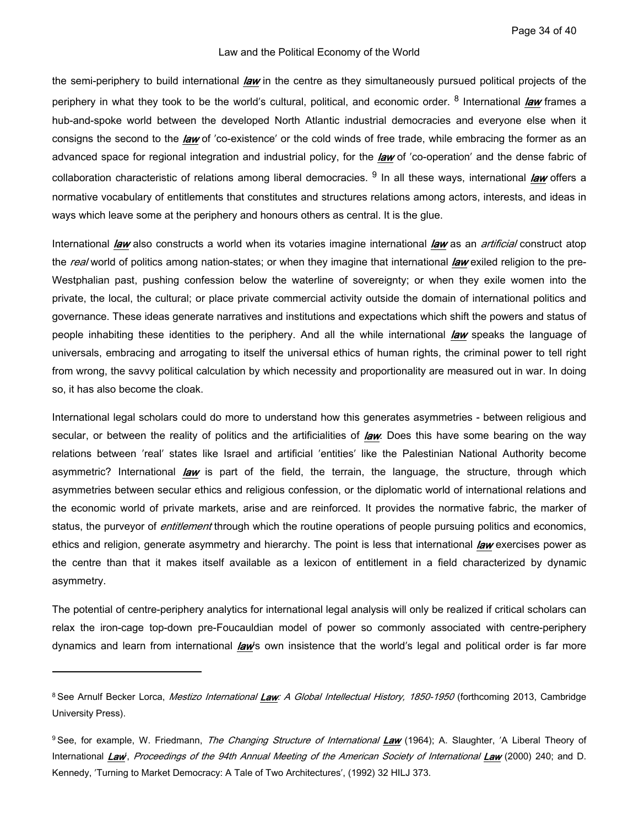the semi-periphery to build international *law* in the centre as they simultaneously pursued political projects of the periphery in what they took to be the world′s cultural, political, and economic order. <sup>8</sup> International *law* frames a hub-and-spoke world between the developed North Atlantic industrial democracies and everyone else when it consigns the second to the *law* of ′co-existence′ or the cold winds of free trade, while embracing the former as an advanced space for regional integration and industrial policy, for the *law* of ′co-operation′ and the dense fabric of collaboration characteristic of relations among liberal democracies. <sup>9</sup> In all these ways, international law offers a normative vocabulary of entitlements that constitutes and structures relations among actors, interests, and ideas in ways which leave some at the periphery and honours others as central. It is the glue.

International *law* also constructs a world when its votaries imagine international *law* as an *artificial* construct atop the *real* world of politics among nation-states; or when they imagine that international *law* exiled religion to the pre-Westphalian past, pushing confession below the waterline of sovereignty; or when they exile women into the private, the local, the cultural; or place private commercial activity outside the domain of international politics and governance. These ideas generate narratives and institutions and expectations which shift the powers and status of people inhabiting these identities to the periphery. And all the while international *law* speaks the language of universals, embracing and arrogating to itself the universal ethics of human rights, the criminal power to tell right from wrong, the savvy political calculation by which necessity and proportionality are measured out in war. In doing so, it has also become the cloak.

International legal scholars could do more to understand how this generates asymmetries - between religious and secular, or between the reality of politics and the artificialities of *law*. Does this have some bearing on the way relations between ′real′ states like Israel and artificial ′entities′ like the Palestinian National Authority become asymmetric? International *law* is part of the field, the terrain, the language, the structure, through which asymmetries between secular ethics and religious confession, or the diplomatic world of international relations and the economic world of private markets, arise and are reinforced. It provides the normative fabric, the marker of status, the purveyor of *entitlement* through which the routine operations of people pursuing politics and economics, ethics and religion, generate asymmetry and hierarchy. The point is less that international *law* exercises power as the centre than that it makes itself available as a lexicon of entitlement in a field characterized by dynamic asymmetry.

The potential of centre-periphery analytics for international legal analysis will only be realized if critical scholars can relax the iron-cage top-down pre-Foucauldian model of power so commonly associated with centre-periphery dynamics and learn from international *law*′s own insistence that the world′s legal and political order is far more

<sup>8</sup>See Arnulf Becker Lorca, *Mestizo International Law: A Global Intellectual History, 1850-1950* (forthcoming 2013, Cambridge University Press).

<sup>9</sup>See, for example, W. Friedmann, *The Changing Structure of International Law* (1964); A. Slaughter, ′A Liberal Theory of International Law<sup>'</sup>, Proceedings of the 94th Annual Meeting of the American Society of International Law (2000) 240; and D. Kennedy, ′Turning to Market Democracy: A Tale of Two Architectures′, (1992) 32 HILJ 373.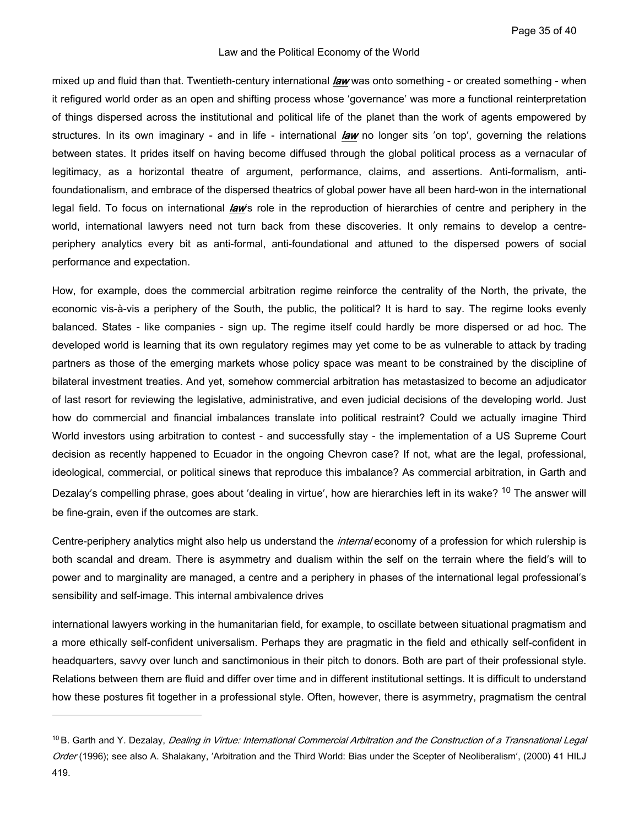mixed up and fluid than that. Twentieth-century international *law* was onto something - or created something - when it refigured world order as an open and shifting process whose ′governance′ was more a functional reinterpretation of things dispersed across the institutional and political life of the planet than the work of agents empowered by structures. In its own imaginary - and in life - international *law* no longer sits ′on top′, governing the relations between states. It prides itself on having become diffused through the global political process as a vernacular of legitimacy, as a horizontal theatre of argument, performance, claims, and assertions. Anti-formalism, antifoundationalism, and embrace of the dispersed theatrics of global power have all been hard-won in the international legal field. To focus on international *law*′s role in the reproduction of hierarchies of centre and periphery in the world, international lawyers need not turn back from these discoveries. It only remains to develop a centreperiphery analytics every bit as anti-formal, anti-foundational and attuned to the dispersed powers of social performance and expectation.

How, for example, does the commercial arbitration regime reinforce the centrality of the North, the private, the economic vis-à-vis a periphery of the South, the public, the political? It is hard to say. The regime looks evenly balanced. States - like companies - sign up. The regime itself could hardly be more dispersed or ad hoc. The developed world is learning that its own regulatory regimes may yet come to be as vulnerable to attack by trading partners as those of the emerging markets whose policy space was meant to be constrained by the discipline of bilateral investment treaties. And yet, somehow commercial arbitration has metastasized to become an adjudicator of last resort for reviewing the legislative, administrative, and even judicial decisions of the developing world. Just how do commercial and financial imbalances translate into political restraint? Could we actually imagine Third World investors using arbitration to contest - and successfully stay - the implementation of a US Supreme Court decision as recently happened to Ecuador in the ongoing Chevron case? If not, what are the legal, professional, ideological, commercial, or political sinews that reproduce this imbalance? As commercial arbitration, in Garth and Dezalay's compelling phrase, goes about 'dealing in virtue', how are hierarchies left in its wake? <sup>10</sup> The answer will be fine-grain, even if the outcomes are stark.

Centre-periphery analytics might also help us understand the *internal* economy of a profession for which rulership is both scandal and dream. There is asymmetry and dualism within the self on the terrain where the field′s will to power and to marginality are managed, a centre and a periphery in phases of the international legal professional′s sensibility and self-image. This internal ambivalence drives

international lawyers working in the humanitarian field, for example, to oscillate between situational pragmatism and a more ethically self-confident universalism. Perhaps they are pragmatic in the field and ethically self-confident in headquarters, savvy over lunch and sanctimonious in their pitch to donors. Both are part of their professional style. Relations between them are fluid and differ over time and in different institutional settings. It is difficult to understand how these postures fit together in a professional style. Often, however, there is asymmetry, pragmatism the central

<sup>10</sup>B. Garth and Y. Dezalay, *Dealing in Virtue: International Commercial Arbitration and the Construction of a Transnational Legal Order* (1996); see also A. Shalakany, ′Arbitration and the Third World: Bias under the Scepter of Neoliberalism′, (2000) 41 HILJ 419.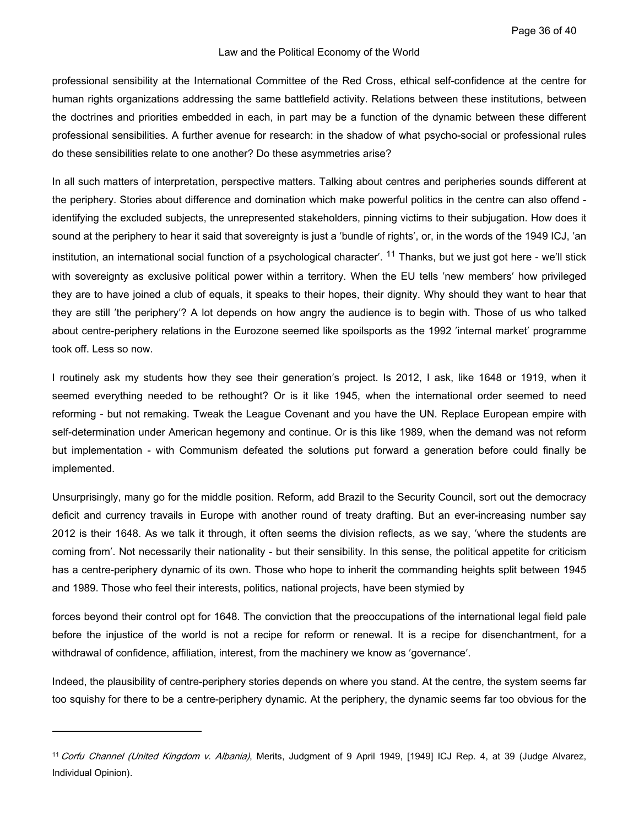professional sensibility at the International Committee of the Red Cross, ethical self-confidence at the centre for human rights organizations addressing the same battlefield activity. Relations between these institutions, between the doctrines and priorities embedded in each, in part may be a function of the dynamic between these different professional sensibilities. A further avenue for research: in the shadow of what psycho-social or professional rules do these sensibilities relate to one another? Do these asymmetries arise?

In all such matters of interpretation, perspective matters. Talking about centres and peripheries sounds different at the periphery. Stories about difference and domination which make powerful politics in the centre can also offend identifying the excluded subjects, the unrepresented stakeholders, pinning victims to their subjugation. How does it sound at the periphery to hear it said that sovereignty is just a ′bundle of rights′, or, in the words of the 1949 ICJ, ′an institution, an international social function of a psychological character'. <sup>11</sup> Thanks, but we just got here - we'll stick with sovereignty as exclusive political power within a territory. When the EU tells 'new members' how privileged they are to have joined a club of equals, it speaks to their hopes, their dignity. Why should they want to hear that they are still ′the periphery′? A lot depends on how angry the audience is to begin with. Those of us who talked about centre-periphery relations in the Eurozone seemed like spoilsports as the 1992 ′internal market′ programme took off. Less so now.

I routinely ask my students how they see their generation′s project. Is 2012, I ask, like 1648 or 1919, when it seemed everything needed to be rethought? Or is it like 1945, when the international order seemed to need reforming - but not remaking. Tweak the League Covenant and you have the UN. Replace European empire with self-determination under American hegemony and continue. Or is this like 1989, when the demand was not reform but implementation - with Communism defeated the solutions put forward a generation before could finally be implemented.

Unsurprisingly, many go for the middle position. Reform, add Brazil to the Security Council, sort out the democracy deficit and currency travails in Europe with another round of treaty drafting. But an ever-increasing number say 2012 is their 1648. As we talk it through, it often seems the division reflects, as we say, ′where the students are coming from′. Not necessarily their nationality - but their sensibility. In this sense, the political appetite for criticism has a centre-periphery dynamic of its own. Those who hope to inherit the commanding heights split between 1945 and 1989. Those who feel their interests, politics, national projects, have been stymied by

forces beyond their control opt for 1648. The conviction that the preoccupations of the international legal field pale before the injustice of the world is not a recipe for reform or renewal. It is a recipe for disenchantment, for a withdrawal of confidence, affiliation, interest, from the machinery we know as ′governance′.

Indeed, the plausibility of centre-periphery stories depends on where you stand. At the centre, the system seems far too squishy for there to be a centre-periphery dynamic. At the periphery, the dynamic seems far too obvious for the

<sup>11</sup>*Corfu Channel (United Kingdom v. Albania)*, Merits, Judgment of 9 April 1949, [1949] ICJ Rep. 4, at 39 (Judge Alvarez, Individual Opinion).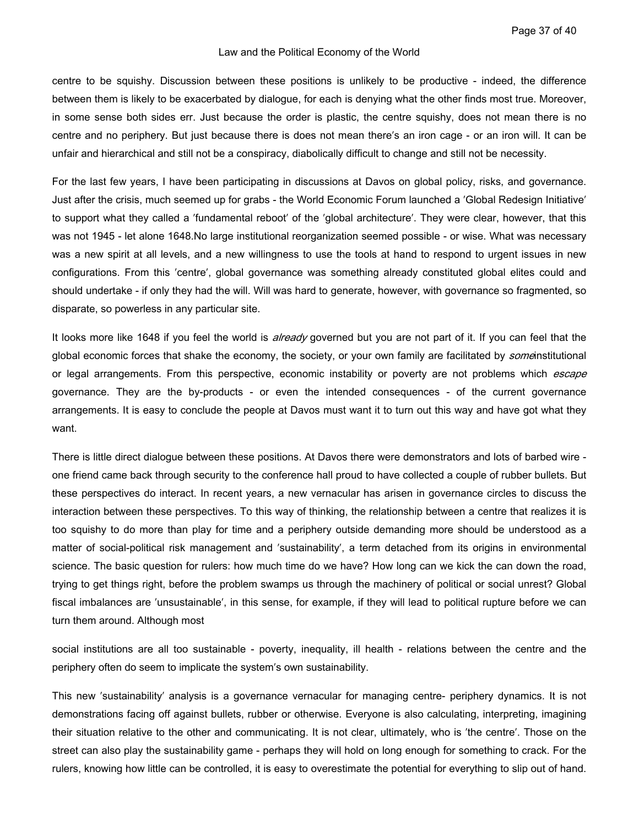centre to be squishy. Discussion between these positions is unlikely to be productive - indeed, the difference between them is likely to be exacerbated by dialogue, for each is denying what the other finds most true. Moreover, in some sense both sides err. Just because the order is plastic, the centre squishy, does not mean there is no centre and no periphery. But just because there is does not mean there′s an iron cage - or an iron will. It can be unfair and hierarchical and still not be a conspiracy, diabolically difficult to change and still not be necessity.

For the last few years, I have been participating in discussions at Davos on global policy, risks, and governance. Just after the crisis, much seemed up for grabs - the World Economic Forum launched a ′Global Redesign Initiative′ to support what they called a ′fundamental reboot′ of the ′global architecture′. They were clear, however, that this was not 1945 - let alone 1648.No large institutional reorganization seemed possible - or wise. What was necessary was a new spirit at all levels, and a new willingness to use the tools at hand to respond to urgent issues in new configurations. From this ′centre′, global governance was something already constituted global elites could and should undertake - if only they had the will. Will was hard to generate, however, with governance so fragmented, so disparate, so powerless in any particular site.

It looks more like 1648 if you feel the world is *already* governed but you are not part of it. If you can feel that the global economic forces that shake the economy, the society, or your own family are facilitated by *some*institutional or legal arrangements. From this perspective, economic instability or poverty are not problems which *escape*  governance. They are the by-products - or even the intended consequences - of the current governance arrangements. It is easy to conclude the people at Davos must want it to turn out this way and have got what they want.

There is little direct dialogue between these positions. At Davos there were demonstrators and lots of barbed wire one friend came back through security to the conference hall proud to have collected a couple of rubber bullets. But these perspectives do interact. In recent years, a new vernacular has arisen in governance circles to discuss the interaction between these perspectives. To this way of thinking, the relationship between a centre that realizes it is too squishy to do more than play for time and a periphery outside demanding more should be understood as a matter of social-political risk management and ′sustainability′, a term detached from its origins in environmental science. The basic question for rulers: how much time do we have? How long can we kick the can down the road, trying to get things right, before the problem swamps us through the machinery of political or social unrest? Global fiscal imbalances are 'unsustainable', in this sense, for example, if they will lead to political rupture before we can turn them around. Although most

social institutions are all too sustainable - poverty, inequality, ill health - relations between the centre and the periphery often do seem to implicate the system′s own sustainability.

This new ′sustainability′ analysis is a governance vernacular for managing centre- periphery dynamics. It is not demonstrations facing off against bullets, rubber or otherwise. Everyone is also calculating, interpreting, imagining their situation relative to the other and communicating. It is not clear, ultimately, who is ′the centre′. Those on the street can also play the sustainability game - perhaps they will hold on long enough for something to crack. For the rulers, knowing how little can be controlled, it is easy to overestimate the potential for everything to slip out of hand.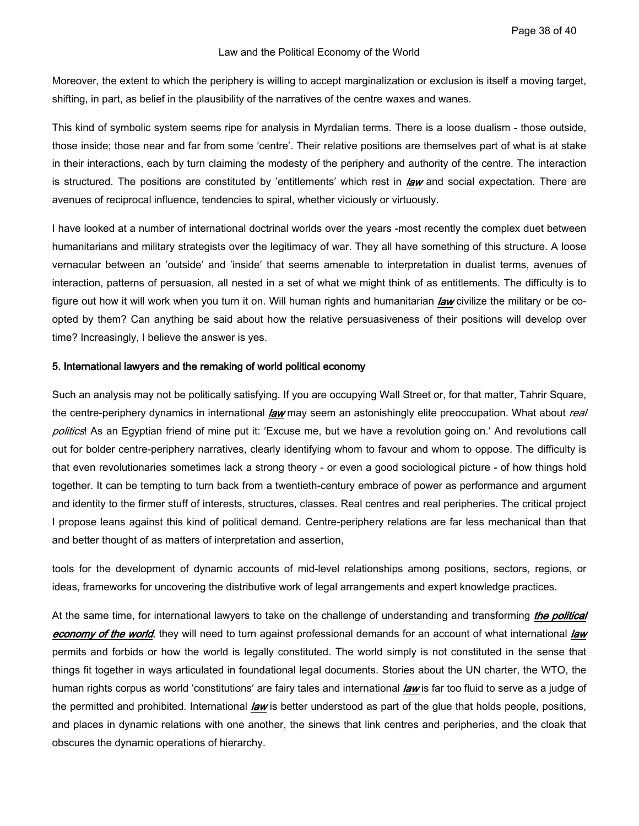Moreover, the extent to which the periphery is willing to accept marginalization or exclusion is itself a moving target, shifting, in part, as belief in the plausibility of the narratives of the centre waxes and wanes.

This kind of symbolic system seems ripe for analysis in Myrdalian terms. There is a loose dualism - those outside, those inside; those near and far from some ′centre′. Their relative positions are themselves part of what is at stake in their interactions, each by turn claiming the modesty of the periphery and authority of the centre. The interaction is structured. The positions are constituted by ′entitlements′ which rest in *law* and social expectation. There are avenues of reciprocal influence, tendencies to spiral, whether viciously or virtuously.

I have looked at a number of international doctrinal worlds over the years -most recently the complex duet between humanitarians and military strategists over the legitimacy of war. They all have something of this structure. A loose vernacular between an ′outside′ and ′inside′ that seems amenable to interpretation in dualist terms, avenues of interaction, patterns of persuasion, all nested in a set of what we might think of as entitlements. The difficulty is to figure out how it will work when you turn it on. Will human rights and humanitarian *law* civilize the military or be coopted by them? Can anything be said about how the relative persuasiveness of their positions will develop over time? Increasingly, I believe the answer is yes.

#### **5. International lawyers and the remaking of world political economy**

Such an analysis may not be politically satisfying. If you are occupying Wall Street or, for that matter, Tahrir Square, the centre-periphery dynamics in international *law* may seem an astonishingly elite preoccupation. What about *real politics*! As an Egyptian friend of mine put it: ′Excuse me, but we have a revolution going on.′ And revolutions call out for bolder centre-periphery narratives, clearly identifying whom to favour and whom to oppose. The difficulty is that even revolutionaries sometimes lack a strong theory - or even a good sociological picture - of how things hold together. It can be tempting to turn back from a twentieth-century embrace of power as performance and argument and identity to the firmer stuff of interests, structures, classes. Real centres and real peripheries. The critical project I propose leans against this kind of political demand. Centre-periphery relations are far less mechanical than that and better thought of as matters of interpretation and assertion,

tools for the development of dynamic accounts of mid-level relationships among positions, sectors, regions, or ideas, frameworks for uncovering the distributive work of legal arrangements and expert knowledge practices.

At the same time, for international lawyers to take on the challenge of understanding and transforming *the political economy of the world*, they will need to turn against professional demands for an account of what international *law* permits and forbids or how the world is legally constituted. The world simply is not constituted in the sense that things fit together in ways articulated in foundational legal documents. Stories about the UN charter, the WTO, the human rights corpus as world ′constitutions′ are fairy tales and international *law* is far too fluid to serve as a judge of the permitted and prohibited. International *law* is better understood as part of the glue that holds people, positions, and places in dynamic relations with one another, the sinews that link centres and peripheries, and the cloak that obscures the dynamic operations of hierarchy.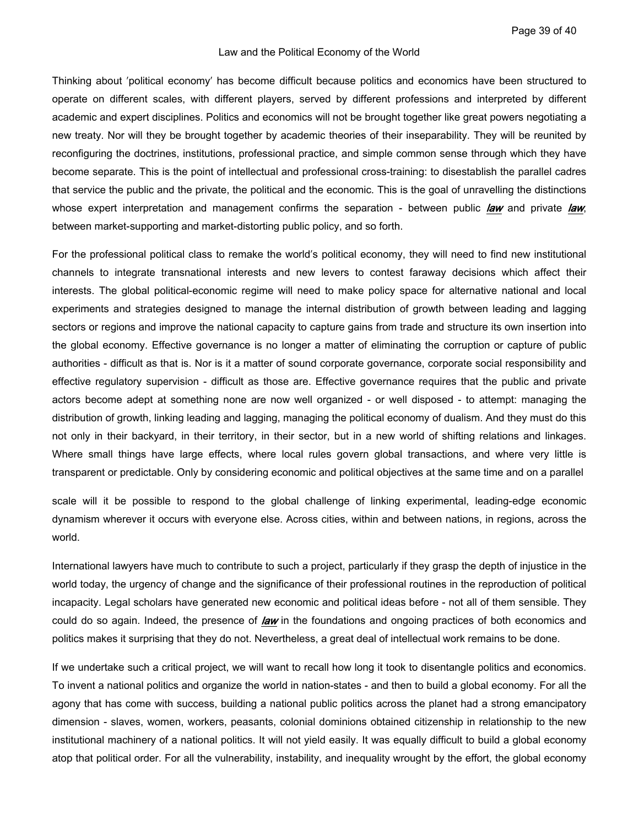Thinking about ′political economy′ has become difficult because politics and economics have been structured to operate on different scales, with different players, served by different professions and interpreted by different academic and expert disciplines. Politics and economics will not be brought together like great powers negotiating a new treaty. Nor will they be brought together by academic theories of their inseparability. They will be reunited by reconfiguring the doctrines, institutions, professional practice, and simple common sense through which they have become separate. This is the point of intellectual and professional cross-training: to disestablish the parallel cadres that service the public and the private, the political and the economic. This is the goal of unravelling the distinctions whose expert interpretation and management confirms the separation - between public *law* and private *law*, between market-supporting and market-distorting public policy, and so forth.

For the professional political class to remake the world′s political economy, they will need to find new institutional channels to integrate transnational interests and new levers to contest faraway decisions which affect their interests. The global political-economic regime will need to make policy space for alternative national and local experiments and strategies designed to manage the internal distribution of growth between leading and lagging sectors or regions and improve the national capacity to capture gains from trade and structure its own insertion into the global economy. Effective governance is no longer a matter of eliminating the corruption or capture of public authorities - difficult as that is. Nor is it a matter of sound corporate governance, corporate social responsibility and effective regulatory supervision - difficult as those are. Effective governance requires that the public and private actors become adept at something none are now well organized - or well disposed - to attempt: managing the distribution of growth, linking leading and lagging, managing the political economy of dualism. And they must do this not only in their backyard, in their territory, in their sector, but in a new world of shifting relations and linkages. Where small things have large effects, where local rules govern global transactions, and where very little is transparent or predictable. Only by considering economic and political objectives at the same time and on a parallel

scale will it be possible to respond to the global challenge of linking experimental, leading-edge economic dynamism wherever it occurs with everyone else. Across cities, within and between nations, in regions, across the world.

International lawyers have much to contribute to such a project, particularly if they grasp the depth of injustice in the world today, the urgency of change and the significance of their professional routines in the reproduction of political incapacity. Legal scholars have generated new economic and political ideas before - not all of them sensible. They could do so again. Indeed, the presence of *law* in the foundations and ongoing practices of both economics and politics makes it surprising that they do not. Nevertheless, a great deal of intellectual work remains to be done.

If we undertake such a critical project, we will want to recall how long it took to disentangle politics and economics. To invent a national politics and organize the world in nation-states - and then to build a global economy. For all the agony that has come with success, building a national public politics across the planet had a strong emancipatory dimension - slaves, women, workers, peasants, colonial dominions obtained citizenship in relationship to the new institutional machinery of a national politics. It will not yield easily. It was equally difficult to build a global economy atop that political order. For all the vulnerability, instability, and inequality wrought by the effort, the global economy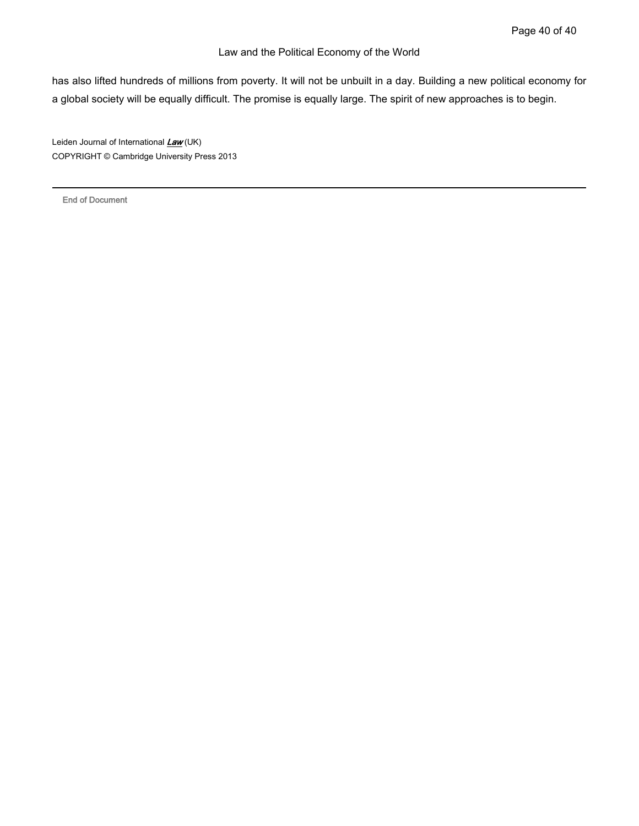has also lifted hundreds of millions from poverty. It will not be unbuilt in a day. Building a new political economy for a global society will be equally difficult. The promise is equally large. The spirit of new approaches is to begin.

Leiden Journal of International *Law* (UK) COPYRIGHT © Cambridge University Press 2013

**End of Document**